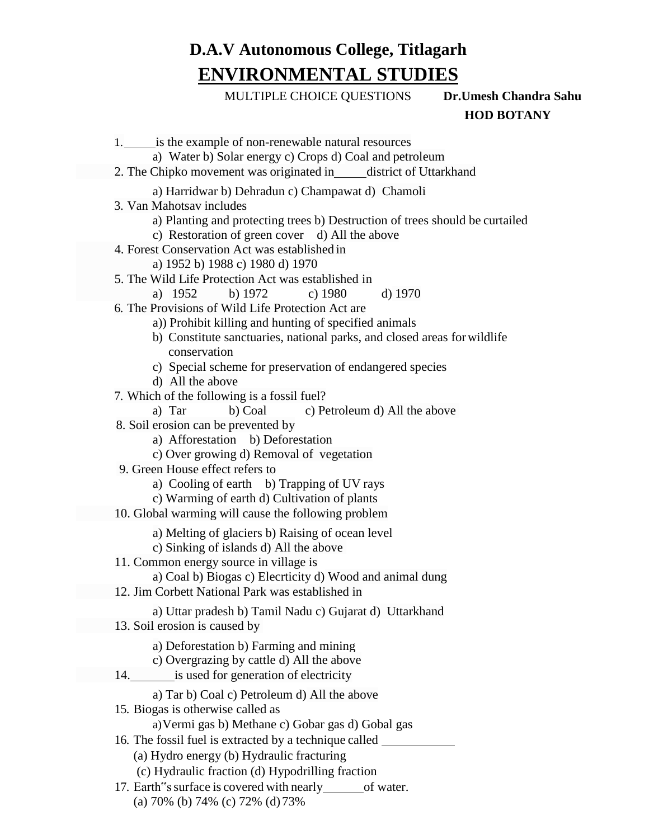## **D.A.V Autonomous College, Titlagarh ENVIRONMENTAL STUDIES**

MULTIPLE CHOICE QUESTIONS **Dr.Umesh Chandra Sahu**

 **HOD BOTANY**

1. is the example of non-renewable natural resources a) Water b) Solar energy c) Crops d) Coal and petroleum a) Harridwar b) Dehradun c) Champawat d) Chamoli 3. Van Mahotsav includes a) Planting and protecting trees b) Destruction of trees should be curtailed c) Restoration of green cover d) All the above 4. Forest Conservation Act was established in a) 1952 b) 1988 c) 1980 d) 1970 5. The Wild Life Protection Act was established in a) 1952 b) 1972 c) 1980 d) 1970 6. The Provisions of Wild Life Protection Act are a)) Prohibit killing and hunting of specified animals b) Constitute sanctuaries, national parks, and closed areas forwildlife conservation c) Special scheme for preservation of endangered species d) All the above 7. Which of the following is a fossil fuel? a) Tar b) Coal c) Petroleum d) All the above 8. Soil erosion can be prevented by a) Afforestation b) Deforestation c) Over growing d) Removal of vegetation 9. Green House effect refers to a) Cooling of earth b) Trapping of UV rays c) Warming of earth d) Cultivation of plants a) Melting of glaciers b) Raising of ocean level c) Sinking of islands d) All the above 11. Common energy source in village is a) Coal b) Biogas c) Elecrticity d) Wood and animal dung a) Uttar pradesh b) Tamil Nadu c) Gujarat d) Uttarkhand a) Deforestation b) Farming and mining c) Overgrazing by cattle d) All the above a) Tar b) Coal c) Petroleum d) All the above 15. Biogas is otherwise called as a)Vermi gas b) Methane c) Gobar gas d) Gobal gas 16. The fossil fuel is extracted by a technique called (a) Hydro energy (b) Hydraulic fracturing (c) Hydraulic fraction (d) Hypodrilling fraction 17. Earth "s surface is covered with nearly of water. (a) 70% (b) 74% (c) 72% (d) 73% 14. is used for generation of electricity 13. Soil erosion is caused by 12. Jim Corbett National Park was established in 10. Global warming will cause the following problem 2. The Chipko movement was originated in district of Uttarkhand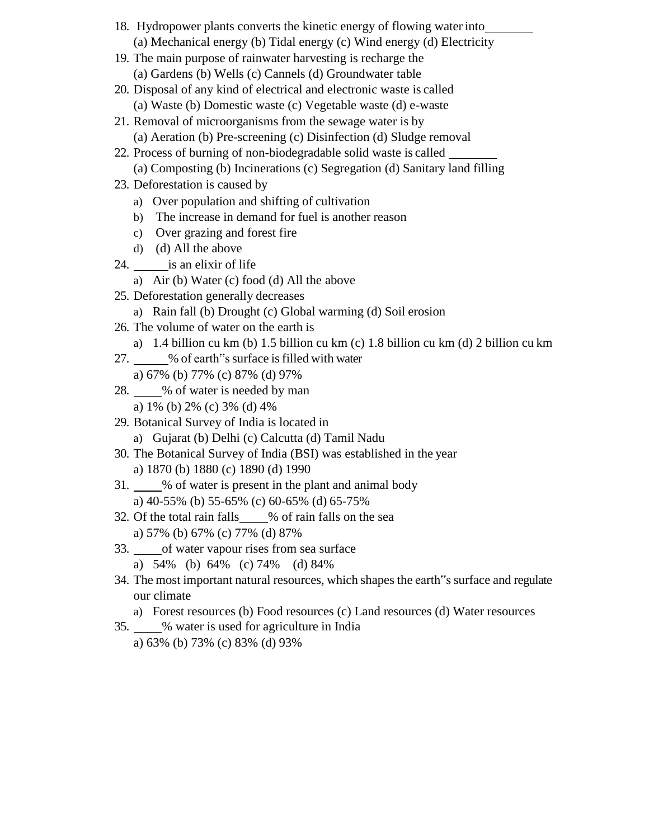- 18. Hydropower plants converts the kinetic energy of flowing water into (a) Mechanical energy (b) Tidal energy (c) Wind energy (d) Electricity
- 19. The main purpose of rainwater harvesting is recharge the (a) Gardens (b) Wells (c) Cannels (d) Groundwater table
- 20. Disposal of any kind of electrical and electronic waste is called (a) Waste (b) Domestic waste (c) Vegetable waste (d) e-waste
- 21. Removal of microorganisms from the sewage water is by (a) Aeration (b) Pre-screening (c) Disinfection (d) Sludge removal
- 22. Process of burning of non-biodegradable solid waste is called (a) Composting (b) Incinerations (c) Segregation (d) Sanitary land filling
- 23. Deforestation is caused by
	- a) Over population and shifting of cultivation
	- b) The increase in demand for fuel is another reason
	- c) Over grazing and forest fire
	- d) (d) All the above
- 24. is an elixir of life
	- a) Air (b) Water (c) food (d) All the above
- 25. Deforestation generally decreases
	- a) Rain fall (b) Drought (c) Global warming (d) Soil erosion
- 26. The volume of water on the earth is
	- a) 1.4 billion cu km (b) 1.5 billion cu km (c) 1.8 billion cu km (d) 2 billion cu km
- 27. 6 % % % % % % 6 carth of surface is filled with water
	- a) 67% (b) 77% (c) 87% (d) 97%
- 28. % of water is needed by man a) 1% (b) 2% (c) 3% (d) 4%
- 29. Botanical Survey of India is located in a) Gujarat (b) Delhi (c) Calcutta (d) Tamil Nadu
- 30. The Botanical Survey of India (BSI) was established in the year a) 1870 (b) 1880 (c) 1890 (d) 1990
- 31. We % of water is present in the plant and animal body a) 40-55% (b) 55-65% (c) 60-65% (d) 65-75%
- 32. Of the total rain falls % of rain falls on the sea a) 57% (b) 67% (c) 77% (d) 87%
- 33. of water vapour rises from sea surface
	- a) 54% (b) 64% (c) 74% (d) 84%
- 34. The most important natural resources, which shapes the earth"s surface and regulate our climate
	- a) Forest resources (b) Food resources (c) Land resources (d) Water resources
- 35. % water is used for agriculture in India a) 63% (b) 73% (c) 83% (d) 93%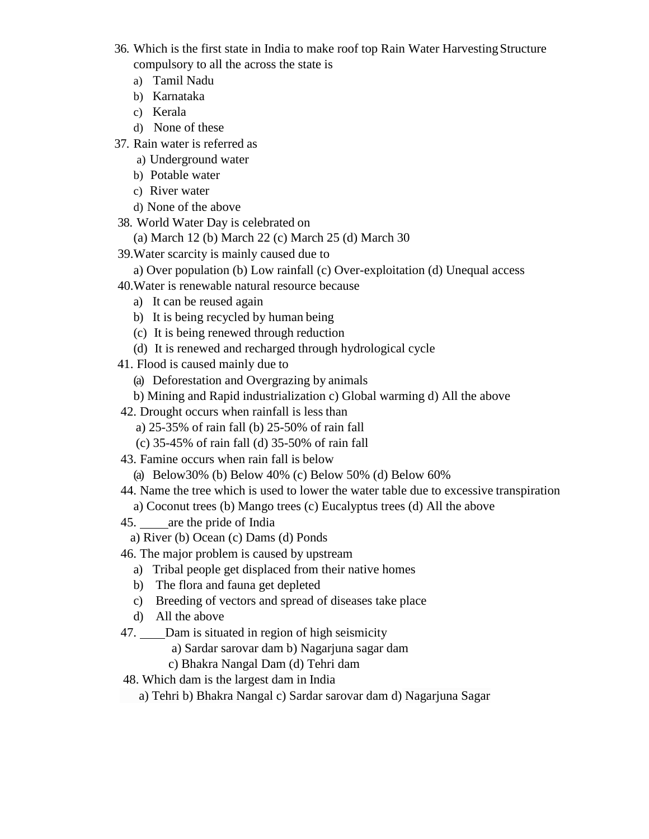- 36. Which is the first state in India to make roof top Rain Water HarvestingStructure compulsory to all the across the state is
	- a) Tamil Nadu
	- b) Karnataka
	- c) Kerala
	- d) None of these
- 37. Rain water is referred as
	- a) Underground water
	- b) Potable water
	- c) River water
	- d) None of the above
- 38. World Water Day is celebrated on
	- (a) March 12 (b) March 22 (c) March 25 (d) March 30
- 39.Water scarcity is mainly caused due to
	- a) Over population (b) Low rainfall (c) Over-exploitation (d) Unequal access
- 40.Water is renewable natural resource because
	- a) It can be reused again
	- b) It is being recycled by human being
	- (c) It is being renewed through reduction
	- (d) It is renewed and recharged through hydrological cycle
- 41. Flood is caused mainly due to
	- (a) Deforestation and Overgrazing by animals
	- b) Mining and Rapid industrialization c) Global warming d) All the above
- 42. Drought occurs when rainfall is less than
	- a) 25-35% of rain fall (b) 25-50% of rain fall
	- (c) 35-45% of rain fall (d) 35-50% of rain fall
- 43. Famine occurs when rain fall is below
	- (a) Below30% (b) Below 40% (c) Below 50% (d) Below 60%
- 44. Name the tree which is used to lower the water table due to excessive transpiration a) Coconut trees (b) Mango trees (c) Eucalyptus trees (d) All the above
- 45. are the pride of India
	- a) River (b) Ocean (c) Dams (d) Ponds
- 46. The major problem is caused by upstream
	- a) Tribal people get displaced from their native homes
	- b) The flora and fauna get depleted
	- c) Breeding of vectors and spread of diseases take place
	- d) All the above
- 47. Dam is situated in region of high seismicity
	- a) Sardar sarovar dam b) Nagarjuna sagar dam
	- c) Bhakra Nangal Dam (d) Tehri dam
- 48. Which dam is the largest dam in India
	- a) Tehri b) Bhakra Nangal c) Sardar sarovar dam d) Nagarjuna Sagar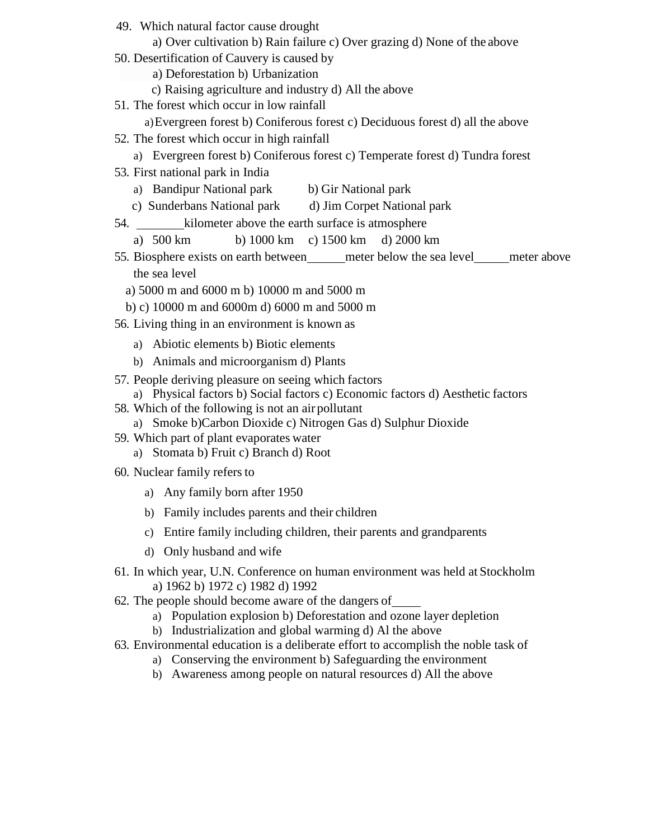49. Which natural factor cause drought

a) Over cultivation b) Rain failure c) Over grazing d) None of the above

- 50. Desertification of Cauvery is caused by
	- a) Deforestation b) Urbanization
	- c) Raising agriculture and industry d) All the above
- 51. The forest which occur in low rainfall
	- a)Evergreen forest b) Coniferous forest c) Deciduous forest d) all the above
- 52. The forest which occur in high rainfall
	- a) Evergreen forest b) Coniferous forest c) Temperate forest d) Tundra forest
- 53. First national park in India
	- a) Bandipur National park b) Gir National park
	- c) Sunderbans National park d) Jim Corpet National park
- 54. kilometer above the earth surface is atmosphere
	- a) 500 km b) 1000 km c) 1500 km d) 2000 km
- 55. Biosphere exists on earth between meter below the sea level meter above the sea level
	- a) 5000 m and 6000 m b) 10000 m and 5000 m
	- b) c) 10000 m and 6000m d) 6000 m and 5000 m
- 56. Living thing in an environment is known as
	- a) Abiotic elements b) Biotic elements
	- b) Animals and microorganism d) Plants
- 57. People deriving pleasure on seeing which factors
	- a) Physical factors b) Social factors c) Economic factors d) Aesthetic factors
- 58. Which of the following is not an air pollutant
	- a) Smoke b)Carbon Dioxide c) Nitrogen Gas d) Sulphur Dioxide
- 59. Which part of plant evaporates water
	- a) Stomata b) Fruit c) Branch d) Root
- 60. Nuclear family refersto
	- a) Any family born after 1950
	- b) Family includes parents and their children
	- c) Entire family including children, their parents and grandparents
	- d) Only husband and wife
- 61. In which year, U.N. Conference on human environment was held at Stockholm a) 1962 b) 1972 c) 1982 d) 1992
- 62. The people should become aware of the dangers of
	- a) Population explosion b) Deforestation and ozone layer depletion
	- b) Industrialization and global warming d) Al the above
- 63. Environmental education is a deliberate effort to accomplish the noble task of
	- a) Conserving the environment b) Safeguarding the environment
	- b) Awareness among people on natural resources d) All the above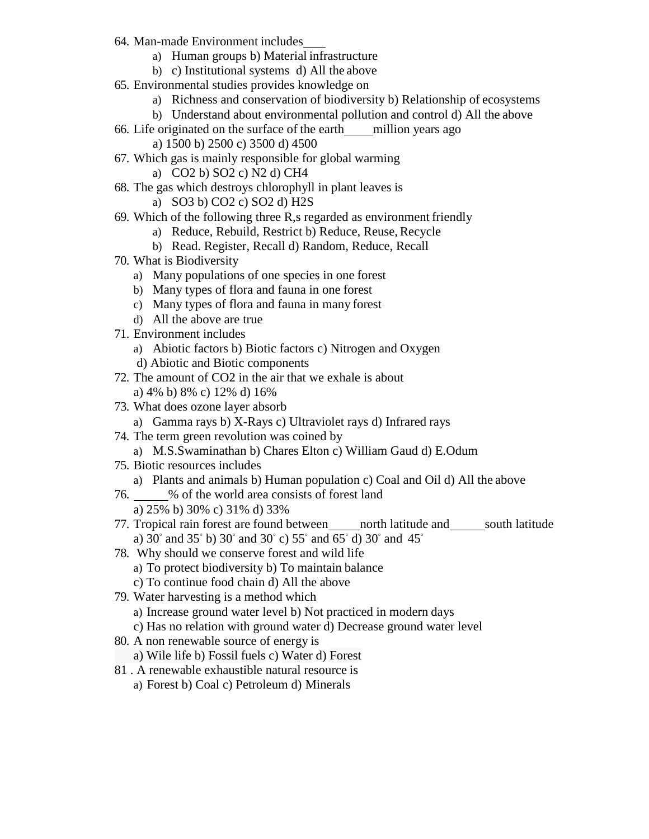- 64. Man-made Environment includes
	- a) Human groups b) Material infrastructure
	- b) c) Institutional systems d) All the above
- 65. Environmental studies provides knowledge on
	- a) Richness and conservation of biodiversity b) Relationship of ecosystems
	- b) Understand about environmental pollution and control d) All the above
- 66. Life originated on the surface of the earth million years ago
	- a) 1500 b) 2500 c) 3500 d) 4500
- 67. Which gas is mainly responsible for global warming
	- a) CO2 b) SO2 c) N2 d) CH4
- 68. The gas which destroys chlorophyll in plant leaves is
	- a) SO3 b) CO2 c) SO2 d) H2S
- 69. Which of the following three R,s regarded as environment friendly
	- a) Reduce, Rebuild, Restrict b) Reduce, Reuse, Recycle
	- b) Read. Register, Recall d) Random, Reduce, Recall
- 70. What is Biodiversity
	- a) Many populations of one species in one forest
	- b) Many types of flora and fauna in one forest
	- c) Many types of flora and fauna in many forest
	- d) All the above are true
- 71. Environment includes
	- a) Abiotic factors b) Biotic factors c) Nitrogen and Oxygen
	- d) Abiotic and Biotic components
- 72. The amount of CO2 in the air that we exhale is about a) 4% b) 8% c) 12% d) 16%
- 73. What does ozone layer absorb
	- a) Gamma rays b) X-Rays c) Ultraviolet rays d) Infrared rays
- 74. The term green revolution was coined by
- a) M.S.Swaminathan b) Chares Elton c) William Gaud d) E.Odum
- 75. Biotic resources includes
	- a) Plants and animals b) Human population c) Coal and Oil d) All the above
- 76. % of the world area consists of forest land
	- a) 25% b) 30% c) 31% d) 33%
- 77. Tropical rain forest are found between north latitude and south latitude a) 30° and 35° b) 30° and 30° c) 55° and 65° d) 30° and 45°
- 78. Why should we conserve forest and wild life
	- a) To protect biodiversity b) To maintain balance
	- c) To continue food chain d) All the above
- 79. Water harvesting is a method which
	- a) Increase ground water level b) Not practiced in modern days
	- c) Has no relation with ground water d) Decrease ground water level
- 80. A non renewable source of energy is
	- a) Wile life b) Fossil fuels c) Water d) Forest
- 81 . A renewable exhaustible natural resource is
	- a) Forest b) Coal c) Petroleum d) Minerals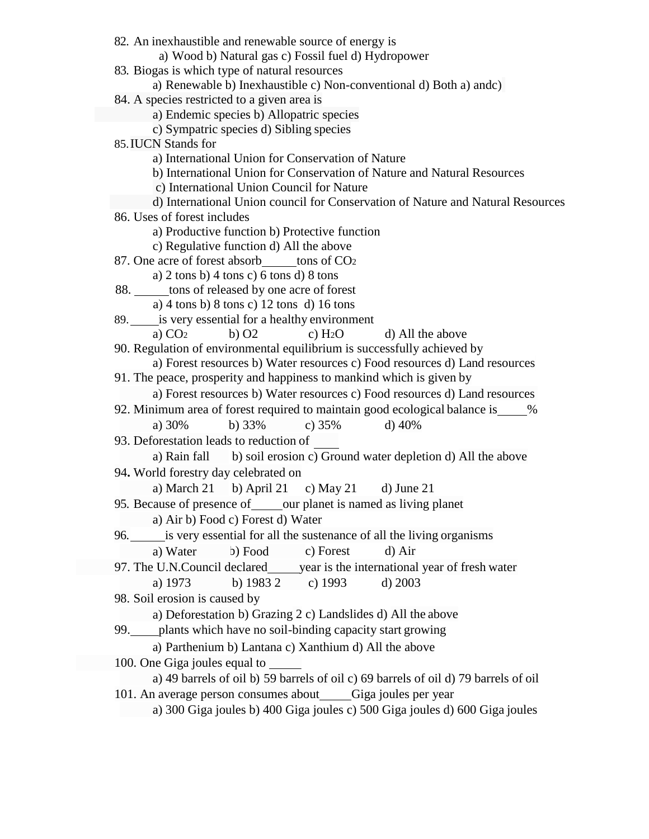a) Forest resources b) Water resources c) Food resources d) Land resources a) Rain fall a) Air b) Food c) Forest d) Water a) Deforestation b) Grazing 2 c) Landslides d) All the above a) 49 barrels of oil b) 59 barrels of oil c) 69 barrels of oil d) 79 barrels of oil 100. One Giga joules equal to a) 1973 97. The U.N.Council declared year is the international year of fresh water Food 33% b) c) 35% d) 40% 82. An inexhaustible and renewable source of energy is a) Wood b) Natural gas c) Fossil fuel d) Hydropower 83. Biogas is which type of natural resources a) Renewable b) Inexhaustible c) Non-conventional d) Both a) andc) 84. A species restricted to a given area is a) Endemic species b) Allopatric species c) Sympatric species d) Sibling species 85.IUCN Stands for a) International Union for Conservation of Nature b) International Union for Conservation of Nature and Natural Resources c) International Union Council for Nature d) International Union council for Conservation of Nature and Natural Resources 86. Uses of forest includes a) Productive function b) Protective function c) Regulative function d) All the above 87. One acre of forest absorb tons of CO<sub>2</sub> a) 2 tons b) 4 tons c) 6 tons d) 8 tons 88. tons of released by one acre of forest a) 4 tons b) 8 tons c) 12 tons d) 16 tons 89. is very essential for a healthy environment a)  $CO<sub>2</sub>$  b)  $O<sub>2</sub>$  c)  $H<sub>2</sub>O$  d) All the above 90. Regulation of environmental equilibrium is successfully achieved by a) Forest resources b) Water resources c) Food resources d) Land resources 91. The peace, prosperity and happiness to mankind which is given by 92. Minimum area of forest required to maintain good ecological balance is  $\frac{1}{8}$ 93. Deforestation leads to reduction of b) soil erosion c) Ground water depletion d) All the above 94**.** World forestry day celebrated on b) April 21 c) May 21 d) June 21 95. Because of presence of our planet is named as living planet 96. is very essential for all the sustenance of all the living organisms b) c) Forest d) Air b) 1983 2 c) 1993 d) 2003 98. Soil erosion is caused by 99. plants which have no soil-binding capacity start growing a) Parthenium b) Lantana c) Xanthium d) All the above 101. An average person consumes about Giga joules per year a) 300 Giga joules b) 400 Giga joules c) 500 Giga joules d) 600 Giga joules a) 30% a) March 21 a) Water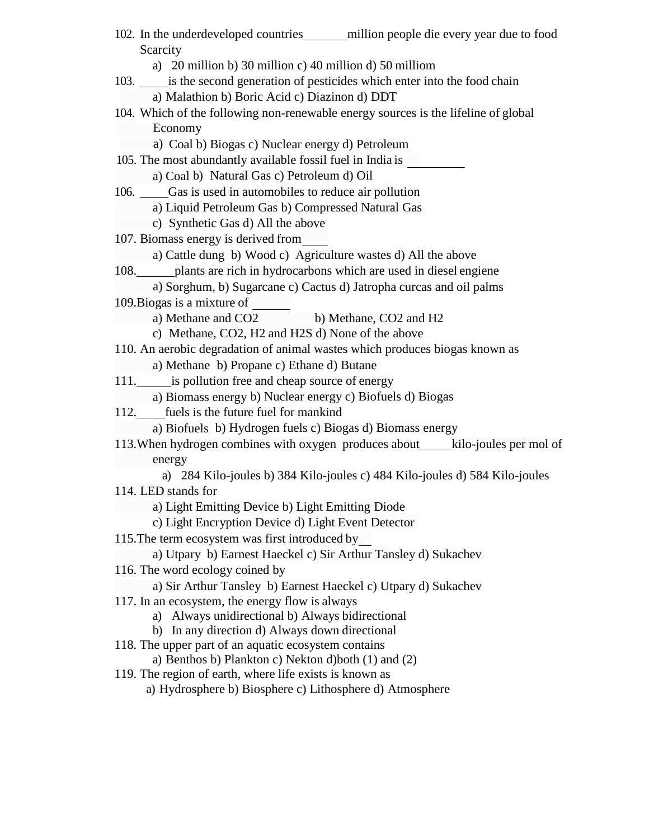a) Cattle dung b) Wood c) Agriculture wastes d) All the above a) Sorghum, b) Sugarcane c) Cactus d) Jatropha curcas and oil palms a) Methane b) Propane c) Ethane d) Butane a) Biomass energy b) Nuclear energy c) Biofuels d) Biogas a) Utpary b) Earnest Haeckel c) Sir Arthur Tansley d) Sukachev 102. In the underdeveloped countries million people die every year due to food Scarcity a) 20 million b) 30 million c) 40 million d) 50 milliom 103. is the second generation of pesticides which enter into the food chain a) Malathion b) Boric Acid c) Diazinon d) DDT 104. Which of the following non-renewable energy sources is the lifeline of global a) Coal b) Biogas c) Nuclear energy d) Petroleum 105. The most abundantly available fossil fuel in India is a) Coal b) Natural Gas c) Petroleum d) Oil 106. Gas is used in automobiles to reduce air pollution a) Liquid Petroleum Gas b) Compressed Natural Gas c) Synthetic Gas d) All the above 107. Biomass energy is derived from 108. plants are rich in hydrocarbons which are used in diesel engiene 109.Biogas is a mixture of a) Methane and CO2 b) Methane, CO2 and H2 c) Methane, CO2, H2 and H2S d) None of the above 110. An aerobic degradation of animal wastes which produces biogas known as 111. is pollution free and cheap source of energy 112. fuels is the future fuel for mankind a) Biofuels b) Hydrogen fuels c) Biogas d) Biomass energy 113.When hydrogen combines with oxygen produces about kilo-joules per mol of energy a) 284 Kilo-joules b) 384 Kilo-joules c) 484 Kilo-joules d) 584 Kilo-joules 114. LED stands for a) Light Emitting Device b) Light Emitting Diode c) Light Encryption Device d) Light Event Detector 115.The term ecosystem was first introduced by 116. The word ecology coined by a) Sir Arthur Tansley b) Earnest Haeckel c) Utpary d) Sukachev 117. In an ecosystem, the energy flow is always a) Always unidirectional b) Always bidirectional b) In any direction d) Always down directional 118. The upper part of an aquatic ecosystem contains a) Benthos b) Plankton c) Nekton d)both (1) and (2) 119. The region of earth, where life exists is known as a) Hydrosphere b) Biosphere c) Lithosphere d) Atmosphere Economy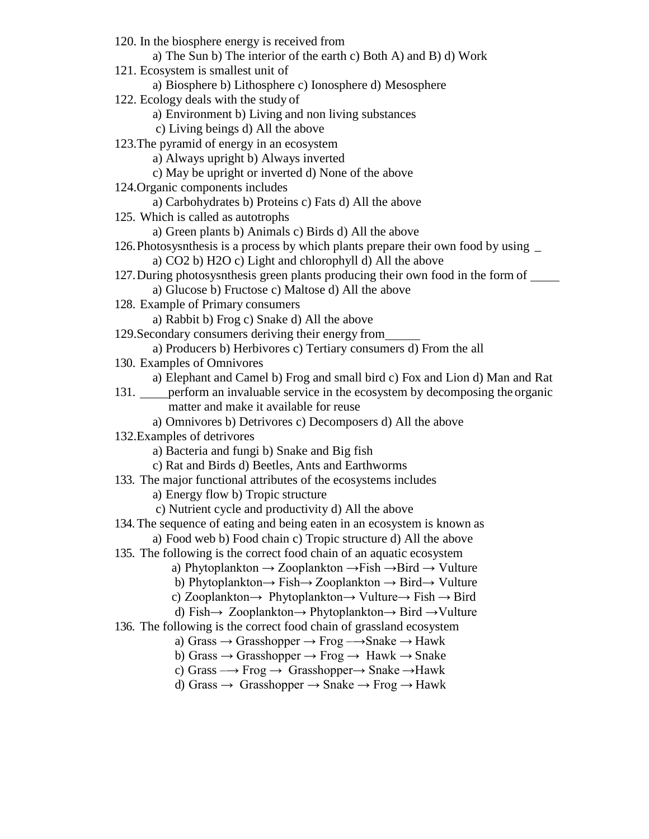120. In the biosphere energy is received from a) The Sun b) The interior of the earth c) Both A) and B) d) Work 121. Ecosystem is smallest unit of a) Biosphere b) Lithosphere c) Ionosphere d) Mesosphere 122. Ecology deals with the study of a) Environment b) Living and non living substances c) Living beings d) All the above 123.The pyramid of energy in an ecosystem a) Always upright b) Always inverted c) May be upright or inverted d) None of the above 124.Organic components includes a) Carbohydrates b) Proteins c) Fats d) All the above 125. Which is called as autotrophs a) Green plants b) Animals c) Birds d) All the above 126.Photosysnthesis is a process by which plants prepare their own food by using \_ a) CO2 b) H2O c) Light and chlorophyll d) All the above 127.During photosysnthesis green plants producing their own food in the form of a) Glucose b) Fructose c) Maltose d) All the above 128. Example of Primary consumers a) Rabbit b) Frog c) Snake d) All the above 129.Secondary consumers deriving their energy from a) Producers b) Herbivores c) Tertiary consumers d) From the all 130. Examples of Omnivores a) Elephant and Camel b) Frog and small bird c) Fox and Lion d) Man and Rat 131. perform an invaluable service in the ecosystem by decomposing the organic matter and make it available for reuse a) Omnivores b) Detrivores c) Decomposers d) All the above 132.Examples of detrivores a) Bacteria and fungi b) Snake and Big fish c) Rat and Birds d) Beetles, Ants and Earthworms 133. The major functional attributes of the ecosystems includes a) Energy flow b) Tropic structure c) Nutrient cycle and productivity d) All the above 134.The sequence of eating and being eaten in an ecosystem is known as a) Food web b) Food chain c) Tropic structure d) All the above 135. The following is the correct food chain of an aquatic ecosystem a) Phytoplankton  $\rightarrow$  Zooplankton  $\rightarrow$  Fish  $\rightarrow$  Bird  $\rightarrow$  Vulture b) Phytoplankton→ Fish→ Zooplankton → Bird→ Vulture c) Zooplankton $\rightarrow$  Phytoplankton $\rightarrow$  Vulture $\rightarrow$  Fish  $\rightarrow$  Bird d) Fish→ Zooplankton→ Phytoplankton→ Bird →Vulture 136. The following is the correct food chain of grassland ecosystem a) Grass  $\rightarrow$  Grasshopper  $\rightarrow$  Frog  $\rightarrow$  Snake  $\rightarrow$  Hawk b) Grass  $\rightarrow$  Grasshopper  $\rightarrow$  Frog  $\rightarrow$  Hawk  $\rightarrow$  Snake c) Grass  $\rightarrow$  Frog  $\rightarrow$  Grasshopper $\rightarrow$  Snake  $\rightarrow$  Hawk d) Grass  $\rightarrow$  Grasshopper  $\rightarrow$  Snake  $\rightarrow$  Frog  $\rightarrow$  Hawk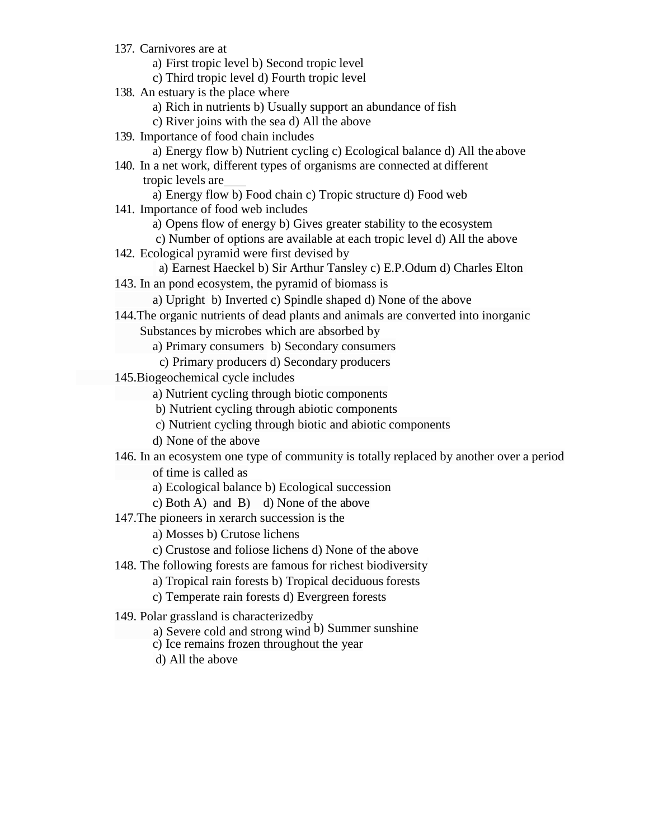- 137. Carnivores are at
	- a) First tropic level b) Second tropic level
	- c) Third tropic level d) Fourth tropic level
- 138. An estuary is the place where
	- a) Rich in nutrients b) Usually support an abundance of fish
	- c) River joins with the sea d) All the above
- 139. Importance of food chain includes
	- a) Energy flow b) Nutrient cycling c) Ecological balance d) All the above
- 140. In a net work, different types of organisms are connected at different tropic levels are
- a) Energy flow b) Food chain c) Tropic structure d) Food web 141. Importance of food web includes
	- a) Opens flow of energy b) Gives greater stability to the ecosystem
	- c) Number of options are available at each tropic level d) All the above
- 142. Ecological pyramid were first devised by
- a) Earnest Haeckel b) Sir Arthur Tansley c) E.P.Odum d) Charles Elton 143. In an pond ecosystem, the pyramid of biomass is
	- a) Upright b) Inverted c) Spindle shaped d) None of the above
- 144.The organic nutrients of dead plants and animals are converted into inorganic Substances by microbes which are absorbed by
	- a) Primary consumers b) Secondary consumers
		- c) Primary producers d) Secondary producers
- 145.Biogeochemical cycle includes
	- a) Nutrient cycling through biotic components
	- b) Nutrient cycling through abiotic components
	- c) Nutrient cycling through biotic and abiotic components
	- d) None of the above
- 146. In an ecosystem one type of community is totally replaced by another over a period

of time is called as

- a) Ecological balance b) Ecological succession
- c) Both A) and B) d) None of the above
- 147.The pioneers in xerarch succession is the
	- a) Mosses b) Crutose lichens
	- c) Crustose and foliose lichens d) None of the above
- 148. The following forests are famous for richest biodiversity
	- a) Tropical rain forests b) Tropical deciduous forests
	- c) Temperate rain forests d) Evergreen forests
- 149. Polar grassland is characterizedby
	- a) Severe cold and strong wind b) Summer sunshine
	- c) Ice remains frozen throughout the year
	- d) All the above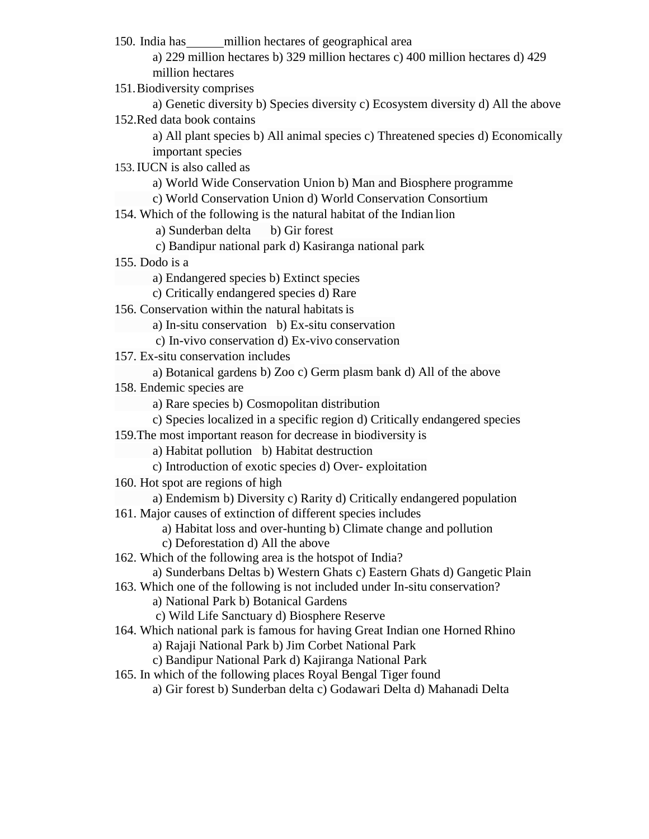150. India has million hectares of geographical area

a) 229 million hectares b) 329 million hectares c) 400 million hectares d) 429 million hectares

151.Biodiversity comprises

a) Genetic diversity b) Species diversity c) Ecosystem diversity d) All the above 152.Red data book contains

a) All plant species b) All animal species c) Threatened species d) Economically important species

153.IUCN is also called as

a) World Wide Conservation Union b) Man and Biosphere programme

c) World Conservation Union d) World Conservation Consortium

154. Which of the following is the natural habitat of the Indian lion

a) Sunderban delta b) Gir forest

- c) Bandipur national park d) Kasiranga national park
- 155. Dodo is a

a) Endangered species b) Extinct species

c) Critically endangered species d) Rare

156. Conservation within the natural habitats is

b) Ex-situ conservation a) In-situ conservation

- c) In-vivo conservation d) Ex-vivo conservation
- 157. Ex-situ conservation includes
	- a) Botanical gardens b) Zoo c) Germ plasm bank d) All of the above
- 158. Endemic species are

a) Rare species b) Cosmopolitan distribution

- c) Species localized in a specific region d) Critically endangered species
- 159.The most important reason for decrease in biodiversity is
	- a) Habitat pollution b) Habitat destruction
	- c) Introduction of exotic species d) Over- exploitation
- 160. Hot spot are regions of high
	- a) Endemism b) Diversity c) Rarity d) Critically endangered population
- 161. Major causes of extinction of different species includes
	- a) Habitat loss and over-hunting b) Climate change and pollution
	- c) Deforestation d) All the above
- 162. Which of the following area is the hotspot of India?

a) Sunderbans Deltas b) Western Ghats c) Eastern Ghats d) Gangetic Plain

- 163. Which one of the following is not included under In-situ conservation?
	- a) National Park b) Botanical Gardens

c) Wild Life Sanctuary d) Biosphere Reserve

164. Which national park is famous for having Great Indian one Horned Rhino

a) Rajaji National Park b) Jim Corbet National Park

c) Bandipur National Park d) Kajiranga National Park

- 165. In which of the following places Royal Bengal Tiger found
	- a) Gir forest b) Sunderban delta c) Godawari Delta d) Mahanadi Delta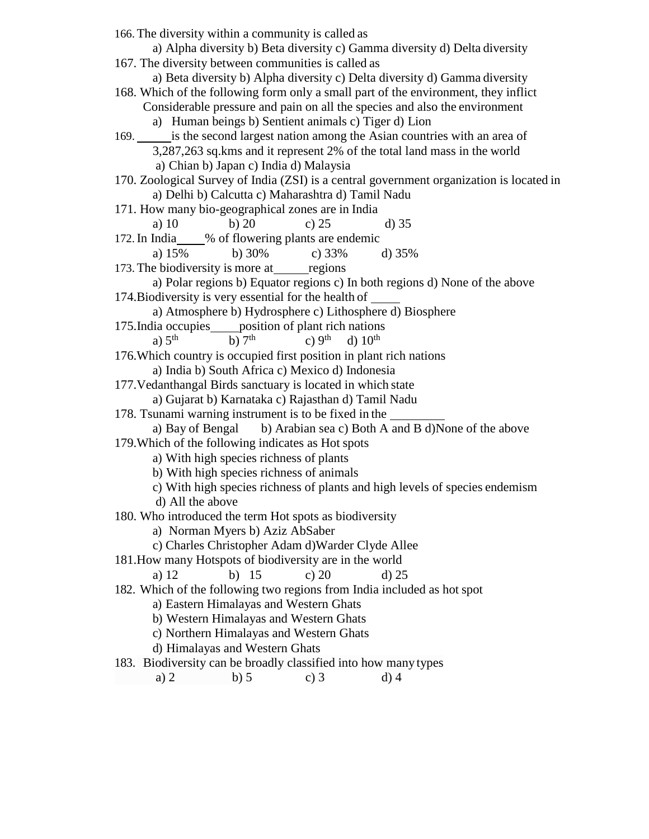|                  | 166. The diversity within a community is called as                  |                                   | a) Alpha diversity b) Beta diversity c) Gamma diversity d) Delta diversity                                                                                        |
|------------------|---------------------------------------------------------------------|-----------------------------------|-------------------------------------------------------------------------------------------------------------------------------------------------------------------|
|                  |                                                                     |                                   |                                                                                                                                                                   |
|                  | 167. The diversity between communities is called as                 |                                   |                                                                                                                                                                   |
|                  |                                                                     |                                   | a) Beta diversity b) Alpha diversity c) Delta diversity d) Gamma diversity<br>168. Which of the following form only a small part of the environment, they inflict |
|                  |                                                                     |                                   |                                                                                                                                                                   |
|                  |                                                                     |                                   | Considerable pressure and pain on all the species and also the environment                                                                                        |
|                  | a) Human beings b) Sentient animals c) Tiger d) Lion                |                                   |                                                                                                                                                                   |
|                  |                                                                     |                                   | 169. is the second largest nation among the Asian countries with an area of                                                                                       |
|                  |                                                                     |                                   | 3,287,263 sq.kms and it represent 2% of the total land mass in the world                                                                                          |
|                  | a) Chian b) Japan c) India d) Malaysia                              |                                   |                                                                                                                                                                   |
|                  |                                                                     |                                   | 170. Zoological Survey of India (ZSI) is a central government organization is located in                                                                          |
|                  | a) Delhi b) Calcutta c) Maharashtra d) Tamil Nadu                   |                                   |                                                                                                                                                                   |
|                  | 171. How many bio-geographical zones are in India                   |                                   |                                                                                                                                                                   |
| a) $10$          | b) $20$                                                             | c) $25$                           | $d)$ 35                                                                                                                                                           |
|                  | 172. In India____% of flowering plants are endemic                  |                                   |                                                                                                                                                                   |
| a) $15%$         | b) $30\%$                                                           | c) $33\%$                         | d) $35%$                                                                                                                                                          |
|                  | 173. The biodiversity is more at regions                            |                                   |                                                                                                                                                                   |
|                  |                                                                     |                                   | a) Polar regions b) Equator regions c) In both regions d) None of the above                                                                                       |
|                  | 174. Biodiversity is very essential for the health of               |                                   |                                                                                                                                                                   |
|                  |                                                                     |                                   | a) Atmosphere b) Hydrosphere c) Lithosphere d) Biosphere                                                                                                          |
|                  | 175. India occupies _____ position of plant rich nations            |                                   |                                                                                                                                                                   |
| a) $5th$         | b) $7th$                                                            | c) $9th$<br>$d)$ 10 <sup>th</sup> |                                                                                                                                                                   |
|                  | 176. Which country is occupied first position in plant rich nations |                                   |                                                                                                                                                                   |
|                  | a) India b) South Africa c) Mexico d) Indonesia                     |                                   |                                                                                                                                                                   |
|                  | 177. Vedanthangal Birds sanctuary is located in which state         |                                   |                                                                                                                                                                   |
|                  | a) Gujarat b) Karnataka c) Rajasthan d) Tamil Nadu                  |                                   |                                                                                                                                                                   |
|                  | 178. Tsunami warning instrument is to be fixed in the               |                                   |                                                                                                                                                                   |
|                  |                                                                     |                                   | a) Bay of Bengal b) Arabian sea c) Both A and B d)None of the above                                                                                               |
|                  | 179. Which of the following indicates as Hot spots                  |                                   |                                                                                                                                                                   |
|                  | a) With high species richness of plants                             |                                   |                                                                                                                                                                   |
|                  | b) With high species richness of animals                            |                                   |                                                                                                                                                                   |
|                  |                                                                     |                                   | c) With high species richness of plants and high levels of species endemism                                                                                       |
| d) All the above |                                                                     |                                   |                                                                                                                                                                   |
|                  | 180. Who introduced the term Hot spots as biodiversity              |                                   |                                                                                                                                                                   |
|                  | a) Norman Myers b) Aziz AbSaber                                     |                                   |                                                                                                                                                                   |
|                  | c) Charles Christopher Adam d) Warder Clyde Allee                   |                                   |                                                                                                                                                                   |
|                  | 181. How many Hotspots of biodiversity are in the world             |                                   |                                                                                                                                                                   |
| a) 12            | b) $15$                                                             | c) $20$                           | $d)$ 25                                                                                                                                                           |
|                  |                                                                     |                                   | 182. Which of the following two regions from India included as hot spot                                                                                           |
|                  | a) Eastern Himalayas and Western Ghats                              |                                   |                                                                                                                                                                   |
|                  | b) Western Himalayas and Western Ghats                              |                                   |                                                                                                                                                                   |
|                  | c) Northern Himalayas and Western Ghats                             |                                   |                                                                                                                                                                   |
|                  | d) Himalayas and Western Ghats                                      |                                   |                                                                                                                                                                   |
|                  | 183. Biodiversity can be broadly classified into how many types     |                                   |                                                                                                                                                                   |
| a) $2$           | $b)$ 5                                                              | c) $3$                            | $d)$ 4                                                                                                                                                            |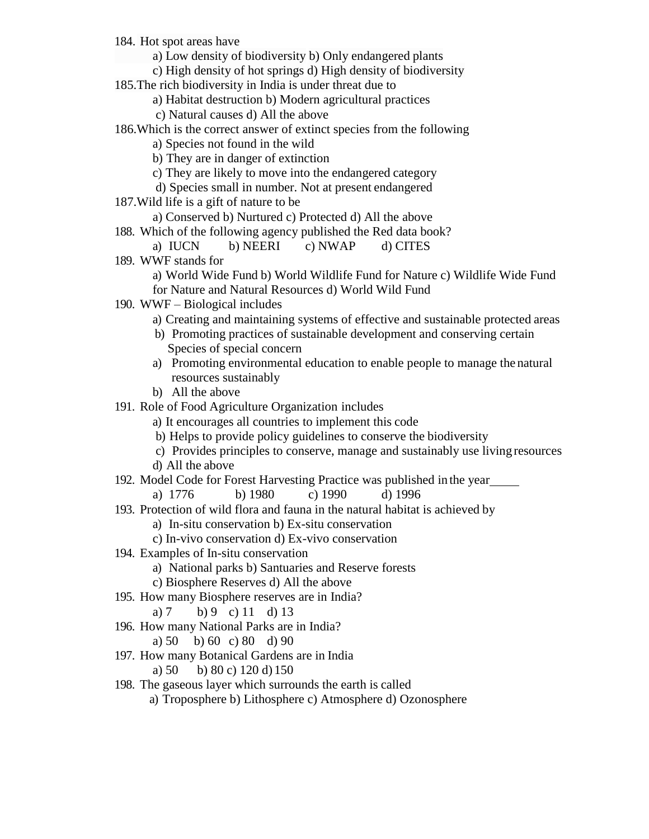- 184. Hot spot areas have
	- a) Low density of biodiversity b) Only endangered plants
	- c) High density of hot springs d) High density of biodiversity
- 185.The rich biodiversity in India is under threat due to
	- a) Habitat destruction b) Modern agricultural practices
	- c) Natural causes d) All the above
- 186.Which is the correct answer of extinct species from the following
	- a) Species not found in the wild
	- b) They are in danger of extinction
	- c) They are likely to move into the endangered category
	- d) Species small in number. Not at present endangered
- 187.Wild life is a gift of nature to be
	- a) Conserved b) Nurtured c) Protected d) All the above
- 188. Which of the following agency published the Red data book?
	- a) IUCN b) NEERI c) NWAP d) CITES
- 189. WWF stands for
	- a) World Wide Fund b) World Wildlife Fund for Nature c) Wildlife Wide Fund for Nature and Natural Resources d) World Wild Fund
- 190. WWF Biological includes
	- a) Creating and maintaining systems of effective and sustainable protected areas
	- b) Promoting practices of sustainable development and conserving certain Species of special concern
	- a) Promoting environmental education to enable people to manage the natural resources sustainably
	- b) All the above
- 191. Role of Food Agriculture Organization includes
	- a) It encourages all countries to implement this code
	- b) Helps to provide policy guidelines to conserve the biodiversity
	- c) Provides principles to conserve, manage and sustainably use living resources
	- d) All the above
- 192. Model Code for Forest Harvesting Practice was published in the year
	- a) 1776 b) 1980 c) 1990 d) 1996
- 193. Protection of wild flora and fauna in the natural habitat is achieved by
	- a) In-situ conservation b) Ex-situ conservation
	- c) In-vivo conservation d) Ex-vivo conservation
- 194. Examples of In-situ conservation
	- a) National parks b) Santuaries and Reserve forests
	- c) Biosphere Reserves d) All the above
- 195. How many Biosphere reserves are in India?
	- a) 7 b) 9 c) 11 d) 13
- 196. How many National Parks are in India?
	- a) 50 b) 60 c) 80 d) 90
- 197. How many Botanical Gardens are in India

a) 50 b) 80 c) 120 d) 150

- 198. The gaseous layer which surrounds the earth is called
	- a) Troposphere b) Lithosphere c) Atmosphere d) Ozonosphere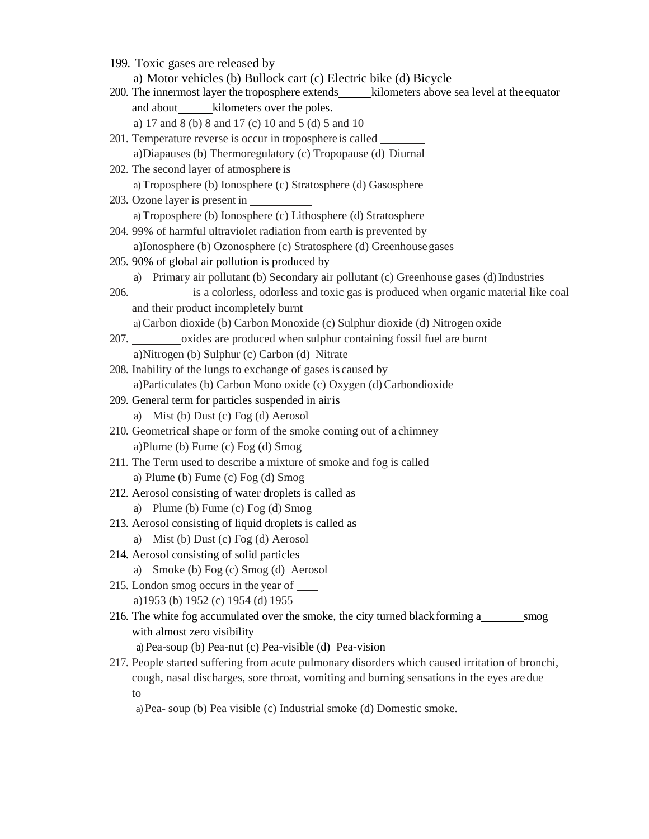| 199. Toxic gases are released by                                                                                                                                                                                               |  |  |  |  |  |
|--------------------------------------------------------------------------------------------------------------------------------------------------------------------------------------------------------------------------------|--|--|--|--|--|
| a) Motor vehicles (b) Bullock cart (c) Electric bike (d) Bicycle                                                                                                                                                               |  |  |  |  |  |
| 200. The innermost layer the troposphere extends________kilometers above sea level at the equator                                                                                                                              |  |  |  |  |  |
|                                                                                                                                                                                                                                |  |  |  |  |  |
| a) 17 and 8 (b) 8 and 17 (c) 10 and 5 (d) 5 and 10                                                                                                                                                                             |  |  |  |  |  |
| 201. Temperature reverse is occur in troposphere is called                                                                                                                                                                     |  |  |  |  |  |
| a)Diapauses (b) Thermoregulatory (c) Tropopause (d) Diurnal                                                                                                                                                                    |  |  |  |  |  |
| 202. The second layer of atmosphere is _______                                                                                                                                                                                 |  |  |  |  |  |
| a) Troposphere (b) Ionosphere (c) Stratosphere (d) Gasosphere                                                                                                                                                                  |  |  |  |  |  |
|                                                                                                                                                                                                                                |  |  |  |  |  |
| a) Troposphere (b) Ionosphere (c) Lithosphere (d) Stratosphere                                                                                                                                                                 |  |  |  |  |  |
| 204. 99% of harmful ultraviolet radiation from earth is prevented by                                                                                                                                                           |  |  |  |  |  |
| a) Ionosphere (b) Ozonosphere (c) Stratosphere (d) Greenhouse gases                                                                                                                                                            |  |  |  |  |  |
| 205. 90% of global air pollution is produced by                                                                                                                                                                                |  |  |  |  |  |
| a) Primary air pollutant (b) Secondary air pollutant (c) Greenhouse gases (d) Industries                                                                                                                                       |  |  |  |  |  |
| 206. set is a colorless, odorless and toxic gas is produced when organic material like coal                                                                                                                                    |  |  |  |  |  |
| and their product incompletely burnt                                                                                                                                                                                           |  |  |  |  |  |
| a) Carbon dioxide (b) Carbon Monoxide (c) Sulphur dioxide (d) Nitrogen oxide                                                                                                                                                   |  |  |  |  |  |
| 207. ____________oxides are produced when sulphur containing fossil fuel are burnt                                                                                                                                             |  |  |  |  |  |
| a) Nitrogen (b) Sulphur (c) Carbon (d) Nitrate                                                                                                                                                                                 |  |  |  |  |  |
| 208. Inability of the lungs to exchange of gases is caused by                                                                                                                                                                  |  |  |  |  |  |
| a)Particulates (b) Carbon Mono oxide (c) Oxygen (d) Carbondioxide                                                                                                                                                              |  |  |  |  |  |
| 209. General term for particles suspended in air is _____________________________                                                                                                                                              |  |  |  |  |  |
| a) Mist (b) Dust (c) Fog (d) Aerosol                                                                                                                                                                                           |  |  |  |  |  |
| 210. Geometrical shape or form of the smoke coming out of a chimney                                                                                                                                                            |  |  |  |  |  |
| a)Plume (b) Fume (c) Fog (d) Smog                                                                                                                                                                                              |  |  |  |  |  |
| 211. The Term used to describe a mixture of smoke and fog is called                                                                                                                                                            |  |  |  |  |  |
| a) Plume (b) Fume (c) Fog (d) Smog                                                                                                                                                                                             |  |  |  |  |  |
| 212. Aerosol consisting of water droplets is called as                                                                                                                                                                         |  |  |  |  |  |
| a) Plume (b) Fume (c) Fog (d) Smog                                                                                                                                                                                             |  |  |  |  |  |
| 213. Aerosol consisting of liquid droplets is called as                                                                                                                                                                        |  |  |  |  |  |
| a) Mist (b) Dust (c) Fog (d) Aerosol                                                                                                                                                                                           |  |  |  |  |  |
| 214. Aerosol consisting of solid particles                                                                                                                                                                                     |  |  |  |  |  |
| Smoke (b) Fog (c) Smog (d) Aerosol<br>a)                                                                                                                                                                                       |  |  |  |  |  |
| 215. London smog occurs in the year of ______                                                                                                                                                                                  |  |  |  |  |  |
| a) 1953 (b) 1952 (c) 1954 (d) 1955                                                                                                                                                                                             |  |  |  |  |  |
| 216. The white fog accumulated over the smoke, the city turned black forming a________ smog                                                                                                                                    |  |  |  |  |  |
| with almost zero visibility                                                                                                                                                                                                    |  |  |  |  |  |
| a) Pea-soup (b) Pea-nut (c) Pea-visible (d) Pea-vision                                                                                                                                                                         |  |  |  |  |  |
| 217. People started suffering from acute pulmonary disorders which caused irritation of bronchi,                                                                                                                               |  |  |  |  |  |
| cough, nasal discharges, sore throat, vomiting and burning sensations in the eyes are due                                                                                                                                      |  |  |  |  |  |
| to to the contract of the contract of the contract of the contract of the contract of the contract of the contract of the contract of the contract of the contract of the contract of the contract of the contract of the cont |  |  |  |  |  |

a) Pea- soup (b) Pea visible (c) Industrial smoke (d) Domestic smoke.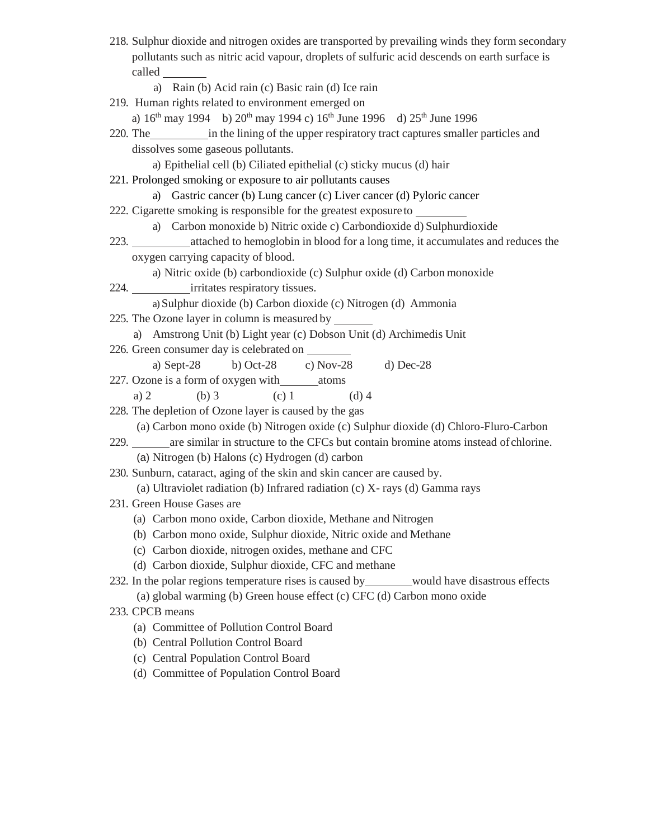- 218. Sulphur dioxide and nitrogen oxides are transported by prevailing winds they form secondary pollutants such as nitric acid vapour, droplets of sulfuric acid descends on earth surface is called
	- a) Rain (b) Acid rain (c) Basic rain (d) Ice rain
- 219. Human rights related to environment emerged on

a)  $16^{th}$  may 1994 b)  $20^{th}$  may 1994 c)  $16^{th}$  June 1996 d)  $25^{th}$  June 1996

- 220. The in the lining of the upper respiratory tract captures smaller particles and dissolves some gaseous pollutants.
	- a) Epithelial cell (b) Ciliated epithelial (c) sticky mucus (d) hair
- 221. Prolonged smoking or exposure to air pollutants causes
	- a) Gastric cancer (b) Lung cancer (c) Liver cancer (d) Pyloric cancer
- 222. Cigarette smoking is responsible for the greatest exposureto

a) Carbon monoxide b) Nitric oxide c) Carbondioxide d) Sulphurdioxide

223. attached to hemoglobin in blood for a long time, it accumulates and reduces the oxygen carrying capacity of blood.

a) Nitric oxide (b) carbondioxide (c) Sulphur oxide (d) Carbon monoxide

224. **irritates respiratory tissues.** 

a) Sulphur dioxide (b) Carbon dioxide (c) Nitrogen (d) Ammonia

- 225. The Ozone layer in column is measured by
	- a) Amstrong Unit (b) Light year (c) Dobson Unit (d) Archimedis Unit
- 226. Green consumer day is celebrated on
- a) Sept-28 b) Oct-28 c) Nov-28 d) Dec-28
- 227. Ozone is a form of oxygen with \_\_\_\_\_\_\_\_ atoms a) 2 (b) 3 (c) 1 (d) 4
- 228. The depletion of Ozone layer is caused by the gas

(a) Carbon mono oxide (b) Nitrogen oxide (c) Sulphur dioxide (d) Chloro-Fluro-Carbon

229. are similar in structure to the CFCs but contain bromine atoms instead of chlorine. (a) Nitrogen (b) Halons (c) Hydrogen (d) carbon

230. Sunburn, cataract, aging of the skin and skin cancer are caused by.

(a) Ultraviolet radiation (b) Infrared radiation (c) X- rays (d) Gamma rays

- 231. Green House Gases are
	- (a) Carbon mono oxide, Carbon dioxide, Methane and Nitrogen
	- (b) Carbon mono oxide, Sulphur dioxide, Nitric oxide and Methane
	- (c) Carbon dioxide, nitrogen oxides, methane and CFC
	- (d) Carbon dioxide, Sulphur dioxide, CFC and methane

## 232. In the polar regions temperature rises is caused by would have disastrous effects (a) global warming (b) Green house effect (c) CFC (d) Carbon mono oxide

- 233. CPCB means
	- (a) Committee of Pollution Control Board
	- (b) Central Pollution Control Board
	- (c) Central Population Control Board
	- (d) Committee of Population Control Board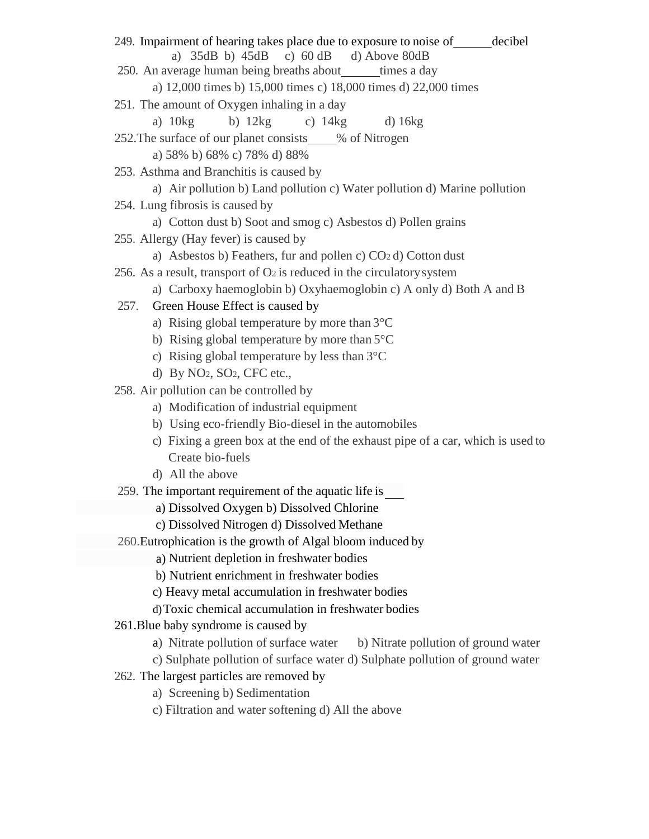a) Nutrient depletion in freshwater bodies 249. Impairment of hearing takes place due to exposure to noise of decibel a) 35dB b) 45dB c) 60 dB d) Above 80dB 250. An average human being breaths about times a day a) 12,000 times b) 15,000 times c) 18,000 times d) 22,000 times 251. The amount of Oxygen inhaling in a day a) 10kg b) 12kg c) 14kg d) 16kg 252. The surface of our planet consists % of Nitrogen a) 58% b) 68% c) 78% d) 88% 253. Asthma and Branchitis is caused by a) Air pollution b) Land pollution c) Water pollution d) Marine pollution 254. Lung fibrosis is caused by a) Cotton dust b) Soot and smog c) Asbestos d) Pollen grains 255. Allergy (Hay fever) is caused by a) Asbestos b) Feathers, fur and pollen c) CO2 d) Cotton dust 256. As a result, transport of  $O<sub>2</sub>$  is reduced in the circulatory system a) Carboxy haemoglobin b) Oxyhaemoglobin c) A only d) Both A and B 257. Green House Effect is caused by a) Rising global temperature by more than 3°C b) Rising global temperature by more than 5°C c) Rising global temperature by less than 3°C d) By NO2, SO2, CFC etc., 258. Air pollution can be controlled by a) Modification of industrial equipment b) Using eco-friendly Bio-diesel in the automobiles c) Fixing a green box at the end of the exhaust pipe of a car, which is used to Create bio-fuels d) All the above 259. The important requirement of the aquatic life is a) Dissolved Oxygen b) Dissolved Chlorine c) Dissolved Nitrogen d) Dissolved Methane 260.Eutrophication is the growth of Algal bloom induced by b) Nutrient enrichment in freshwater bodies c) Heavy metal accumulation in freshwater bodies d)Toxic chemical accumulation in freshwater bodies 261.Blue baby syndrome is caused by a) Nitrate pollution of surface water b) Nitrate pollution of ground water c) Sulphate pollution of surface water d) Sulphate pollution of ground water 262. The largest particles are removed by a) Screening b) Sedimentation c) Filtration and water softening d) All the above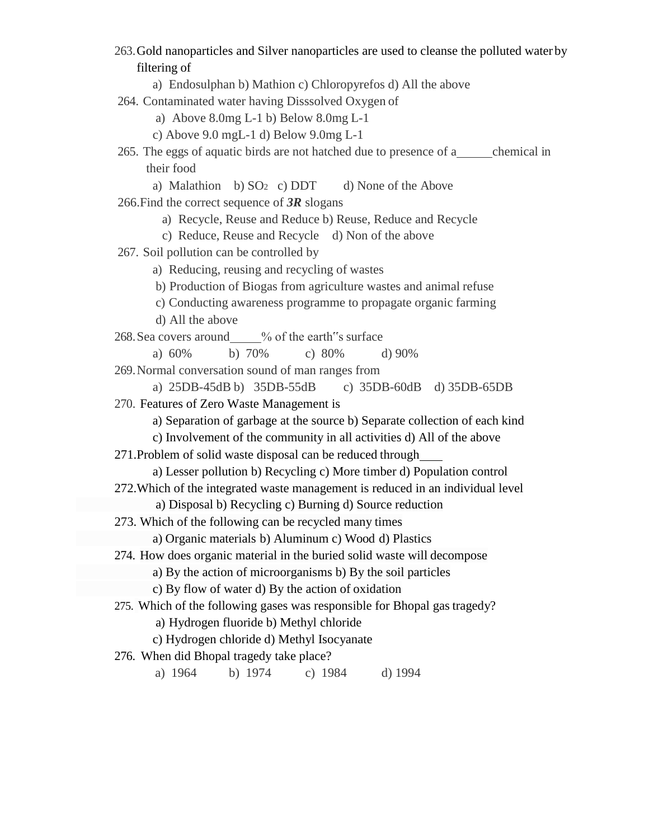263.Gold nanoparticles and Silver nanoparticles are used to cleanse the polluted water by filtering of

a) Endosulphan b) Mathion c) Chloropyrefos d) All the above

264. Contaminated water having Disssolved Oxygen of

a) Above 8.0mg L-1 b) Below 8.0mg L-1

c) Above 9.0 mgL-1 d) Below 9.0mg L-1

265. The eggs of aquatic birds are not hatched due to presence of a chemical in their food

a) Malathion b)  $SO<sub>2</sub>$  c) DDT d) None of the Above 266.Find the correct sequence of *3R* slogans

a) Recycle, Reuse and Reduce b) Reuse, Reduce and Recycle

c) Reduce, Reuse and Recycle d) Non of the above

267. Soil pollution can be controlled by

a) Reducing, reusing and recycling of wastes

- b) Production of Biogas from agriculture wastes and animal refuse
- c) Conducting awareness programme to propagate organic farming

d) All the above

268. Sea covers around \_\_\_\_% of the earth s surface

a) 60% b) 70% c) 80% d) 90%

269.Normal conversation sound of man ranges from

a) 25DB-45dB b) 35DB-55dB c) 35DB-60dB d) 35DB-65DB

270. Features of Zero Waste Management is

a) Separation of garbage at the source b) Separate collection of each kind

c) Involvement of the community in all activities d) All of the above

271.Problem of solid waste disposal can be reduced through

a) Lesser pollution b) Recycling c) More timber d) Population control

272.Which of the integrated waste management is reduced in an individual level

a) Disposal b) Recycling c) Burning d) Source reduction

273. Which of the following can be recycled many times

a) Organic materials b) Aluminum c) Wood d) Plastics

274. How does organic material in the buried solid waste will decompose

a) By the action of microorganisms b) By the soil particles

c) By flow of water d) By the action of oxidation

275. Which of the following gases was responsible for Bhopal gas tragedy?

a) Hydrogen fluoride b) Methyl chloride

c) Hydrogen chloride d) Methyl Isocyanate

276. When did Bhopal tragedy take place?

a) 1964 b) 1974 c) 1984 d) 1994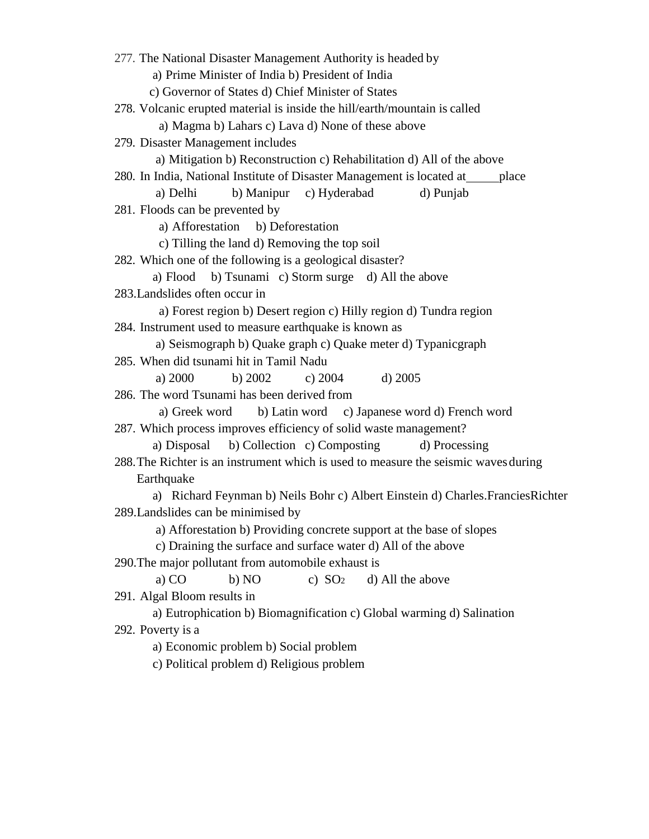277. The National Disaster Management Authority is headed by a) Prime Minister of India b) President of India c) Governor of States d) Chief Minister of States 278. Volcanic erupted material is inside the hill/earth/mountain is called a) Magma b) Lahars c) Lava d) None of these above 279. Disaster Management includes a) Mitigation b) Reconstruction c) Rehabilitation d) All of the above 280. In India, National Institute of Disaster Management is located at place a) Delhi b) Manipur c) Hyderabad d) Punjab 281. Floods can be prevented by a) Afforestation b) Deforestation c) Tilling the land d) Removing the top soil 282. Which one of the following is a geological disaster? a) Flood b) Tsunami c) Storm surge d) All the above 283.Landslides often occur in a) Forest region b) Desert region c) Hilly region d) Tundra region 284. Instrument used to measure earthquake is known as a) Seismograph b) Quake graph c) Quake meter d) Typanicgraph 285. When did tsunami hit in Tamil Nadu a) 2000 b) 2002 c) 2004 d) 2005 286. The word Tsunami has been derived from a) Greek word b) Latin word c) Japanese word d) French word 287. Which process improves efficiency of solid waste management? a) Disposal b) Collection c) Composting d) Processing 288.The Richter is an instrument which is used to measure the seismic wavesduring Earthquake a) Richard Feynman b) Neils Bohr c) Albert Einstein d) Charles.FranciesRichter 289.Landslides can be minimised by a) Afforestation b) Providing concrete support at the base of slopes c) Draining the surface and surface water d) All of the above 290.The major pollutant from automobile exhaust is a) CO b) NO c)  $SO<sub>2</sub>$  d) All the above 291. Algal Bloom results in a) Eutrophication b) Biomagnification c) Global warming d) Salination 292. Poverty is a a) Economic problem b) Social problem

c) Political problem d) Religious problem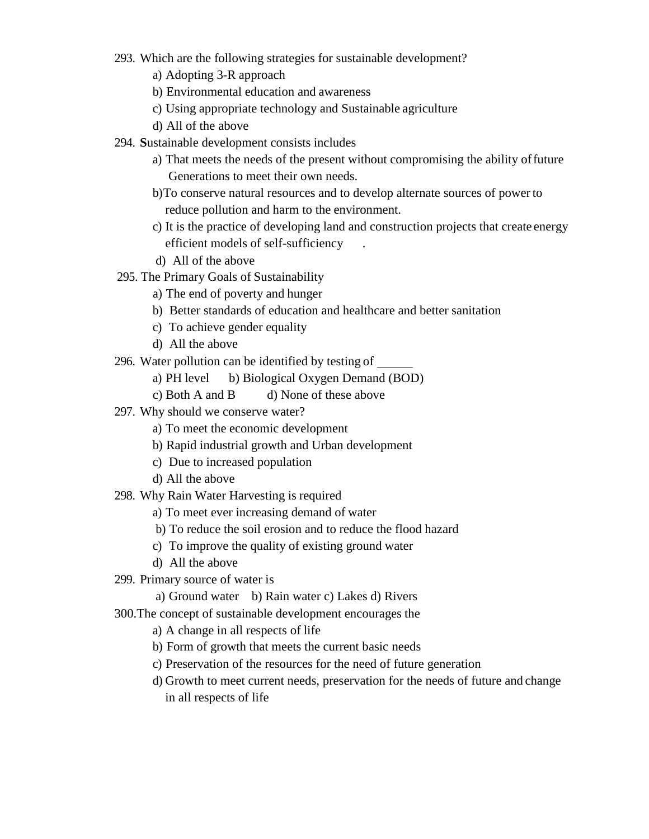- 293. Which are the following strategies for sustainable development?
	- a) Adopting 3-R approach
	- b) Environmental education and awareness
	- c) Using appropriate technology and Sustainable agriculture
	- d) All of the above
- 294. **S**ustainable development consists includes
	- a) That meets the needs of the present without compromising the ability offuture Generations to meet their own needs.
	- b)To conserve natural resources and to develop alternate sources of powerto reduce pollution and harm to the environment.
	- c) It is the practice of developing land and construction projects that create energy efficient models of self-sufficiency .
	- d) All of the above
- 295. The Primary Goals of Sustainability
	- a) The end of poverty and hunger
	- b) Better standards of education and healthcare and better sanitation
	- c) To achieve gender equality
	- d) All the above
- 296. Water pollution can be identified by testing of
	- a) PH level b) Biological Oxygen Demand (BOD)
	- c) Both A and B d) None of these above
- 297. Why should we conserve water?
	- a) To meet the economic development
	- b) Rapid industrial growth and Urban development
	- c) Due to increased population
	- d) All the above
- 298. Why Rain Water Harvesting is required
	- a) To meet ever increasing demand of water
	- b) To reduce the soil erosion and to reduce the flood hazard
	- c) To improve the quality of existing ground water
	- d) All the above
- 299. Primary source of water is
	- a) Ground water b) Rain water c) Lakes d) Rivers
- 300.The concept of sustainable development encourages the
	- a) A change in all respects of life
	- b) Form of growth that meets the current basic needs
	- c) Preservation of the resources for the need of future generation
	- d) Growth to meet current needs, preservation for the needs of future and change in all respects of life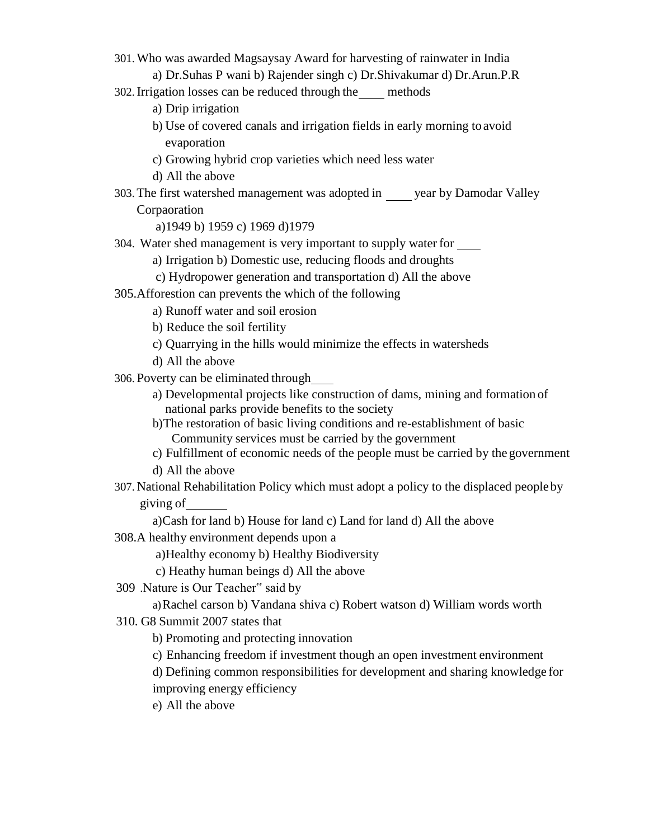- 301.Who was awarded Magsaysay Award for harvesting of rainwater in India
	- a) Dr.Suhas P wani b) Rajender singh c) Dr.Shivakumar d) Dr.Arun.P.R
- 302.Irrigation losses can be reduced through the methods
	- a) Drip irrigation
	- b) Use of covered canals and irrigation fields in early morning to avoid evaporation
	- c) Growing hybrid crop varieties which need less water
	- d) All the above
- 303.The first watershed management was adopted in year by Damodar Valley Corpaoration

a)1949 b) 1959 c) 1969 d)1979

- 304. Water shed management is very important to supply water for
	- a) Irrigation b) Domestic use, reducing floods and droughts
	- c) Hydropower generation and transportation d) All the above
- 305.Afforestion can prevents the which of the following
	- a) Runoff water and soil erosion
	- b) Reduce the soil fertility
	- c) Quarrying in the hills would minimize the effects in watersheds
	- d) All the above
- 306. Poverty can be eliminated through
	- a) Developmental projects like construction of dams, mining and formation of national parks provide benefits to the society
	- b)The restoration of basic living conditions and re-establishment of basic Community services must be carried by the government
	- c) Fulfillment of economic needs of the people must be carried by the government

d) All the above

307. National Rehabilitation Policy which must adopt a policy to the displaced peopleby giving of

a)Cash for land b) House for land c) Land for land d) All the above

308.A healthy environment depends upon a

a)Healthy economy b) Healthy Biodiversity

c) Heathy human beings d) All the above

309 .Nature is Our Teacher" said by

a)Rachel carson b) Vandana shiva c) Robert watson d) William words worth

310. G8 Summit 2007 states that

b) Promoting and protecting innovation

c) Enhancing freedom if investment though an open investment environment

d) Defining common responsibilities for development and sharing knowledge for improving energy efficiency

e) All the above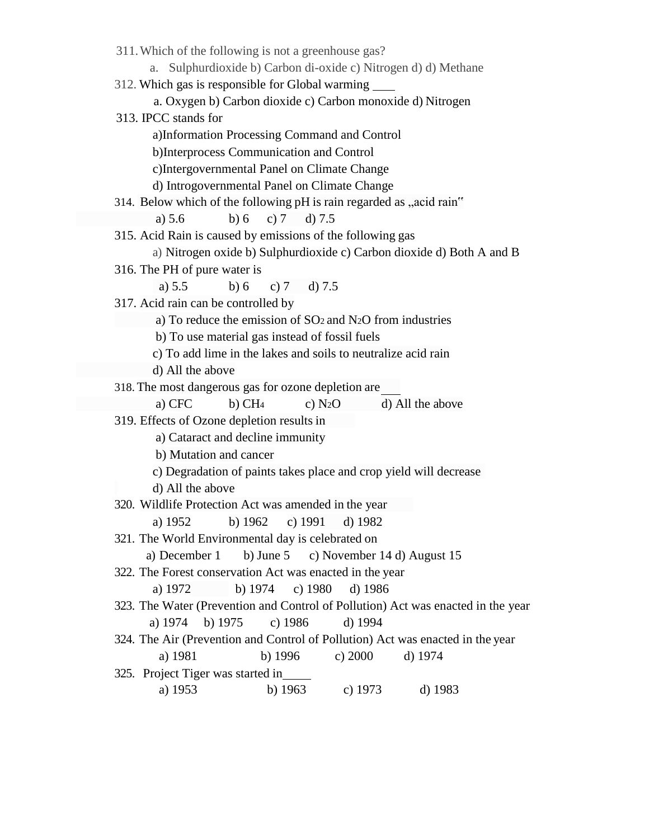| 311. Which of the following is not a greenhouse gas?                             |  |  |  |  |  |  |  |
|----------------------------------------------------------------------------------|--|--|--|--|--|--|--|
| Sulphurdioxide b) Carbon di-oxide c) Nitrogen d) d) Methane<br>a.                |  |  |  |  |  |  |  |
| 312. Which gas is responsible for Global warming                                 |  |  |  |  |  |  |  |
| a. Oxygen b) Carbon dioxide c) Carbon monoxide d) Nitrogen                       |  |  |  |  |  |  |  |
| 313. IPCC stands for                                                             |  |  |  |  |  |  |  |
| a)Information Processing Command and Control                                     |  |  |  |  |  |  |  |
| b)Interprocess Communication and Control                                         |  |  |  |  |  |  |  |
| c)Intergovernmental Panel on Climate Change                                      |  |  |  |  |  |  |  |
| d) Introgovernmental Panel on Climate Change                                     |  |  |  |  |  |  |  |
| 314. Below which of the following pH is rain regarded as "acid rain"             |  |  |  |  |  |  |  |
| b) 6 c) 7 d) 7.5<br>a) $5.6$                                                     |  |  |  |  |  |  |  |
| 315. Acid Rain is caused by emissions of the following gas                       |  |  |  |  |  |  |  |
| a) Nitrogen oxide b) Sulphurdioxide c) Carbon dioxide d) Both A and B            |  |  |  |  |  |  |  |
| 316. The PH of pure water is                                                     |  |  |  |  |  |  |  |
| a) $5.5$<br>b)6<br>c) $7$<br>d) $7.5$                                            |  |  |  |  |  |  |  |
| 317. Acid rain can be controlled by                                              |  |  |  |  |  |  |  |
| a) To reduce the emission of $SO2$ and $N2O$ from industries                     |  |  |  |  |  |  |  |
| b) To use material gas instead of fossil fuels                                   |  |  |  |  |  |  |  |
| c) To add lime in the lakes and soils to neutralize acid rain                    |  |  |  |  |  |  |  |
| d) All the above                                                                 |  |  |  |  |  |  |  |
| 318. The most dangerous gas for ozone depletion are                              |  |  |  |  |  |  |  |
| a) CFC<br>$b)$ CH <sub>4</sub><br>c) $N_2O$<br>d) All the above                  |  |  |  |  |  |  |  |
| 319. Effects of Ozone depletion results in                                       |  |  |  |  |  |  |  |
| a) Cataract and decline immunity                                                 |  |  |  |  |  |  |  |
| b) Mutation and cancer                                                           |  |  |  |  |  |  |  |
| c) Degradation of paints takes place and crop yield will decrease                |  |  |  |  |  |  |  |
| d) All the above<br>320. Wildlife Protection Act was amended in the year         |  |  |  |  |  |  |  |
| b) $1962$ c) $1991$ d) $1982$<br>a) 1952                                         |  |  |  |  |  |  |  |
| 321. The World Environmental day is celebrated on                                |  |  |  |  |  |  |  |
| a) December 1<br>b) June $5$<br>c) November 14 d) August 15                      |  |  |  |  |  |  |  |
| 322. The Forest conservation Act was enacted in the year                         |  |  |  |  |  |  |  |
| b) $1974$<br>c) $1980$<br>a) 1972<br>d) $1986$                                   |  |  |  |  |  |  |  |
| 323. The Water (Prevention and Control of Pollution) Act was enacted in the year |  |  |  |  |  |  |  |
| b) 1975<br>c) 1986<br>d) 1994<br>a) 1974                                         |  |  |  |  |  |  |  |
| 324. The Air (Prevention and Control of Pollution) Act was enacted in the year   |  |  |  |  |  |  |  |
| a) 1981<br>b) $1996$<br>d) 1974<br>c) 2000                                       |  |  |  |  |  |  |  |
| 325. Project Tiger was started in                                                |  |  |  |  |  |  |  |
| c) $1973$<br>b) $1963$<br>d) 1983<br>a) 1953                                     |  |  |  |  |  |  |  |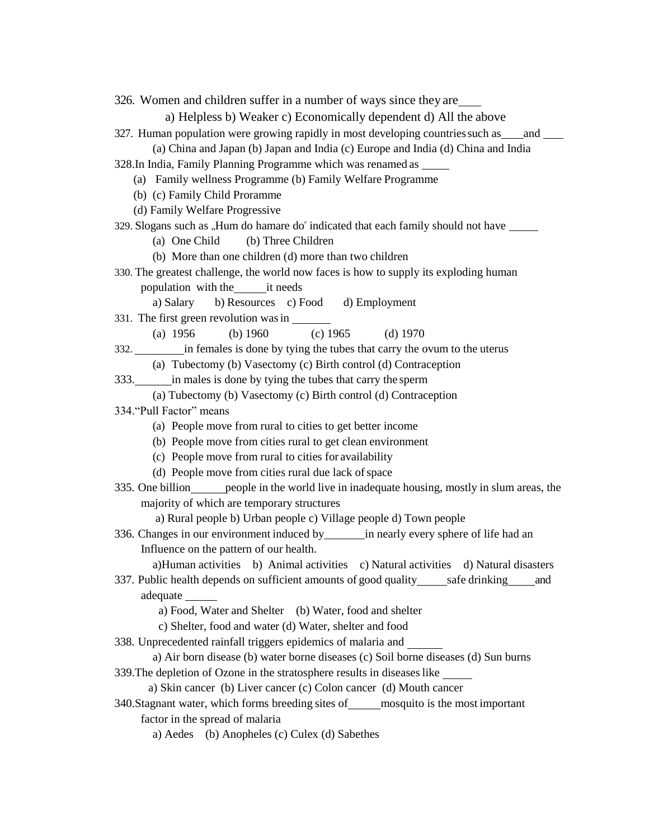326. Women and children suffer in a number of ways since they are a) Helpless b) Weaker c) Economically dependent d) All the above 327. Human population were growing rapidly in most developing countriessuch as and (a) China and Japan (b) Japan and India (c) Europe and India (d) China and India 328.In India, Family Planning Programme which was renamed as (a) Family wellness Programme (b) Family Welfare Programme (b) (c) Family Child Proramme (d) Family Welfare Progressive 329. Slogans such as "Hum do hamare do" indicated that each family should not have \_\_\_\_\_ (a) One Child (b) Three Children (b) More than one children (d) more than two children 330. The greatest challenge, the world now faces is how to supply its exploding human population with the it needs a) Salary b) Resources c) Food d) Employment 331. The first green revolution wasin (a) 1956 (b) 1960 (c) 1965 (d) 1970 332. in females is done by tying the tubes that carry the ovum to the uterus (a) Tubectomy (b) Vasectomy (c) Birth control (d) Contraception 333. in males is done by tying the tubes that carry the sperm (a) Tubectomy (b) Vasectomy (c) Birth control (d) Contraception 334."Pull Factor" means (a) People move from rural to cities to get better income (b) People move from cities rural to get clean environment (c) People move from rural to cities for availability (d) People move from cities rural due lack of space 335. One billion people in the world live in inadequate housing, mostly in slum areas, the majority of which are temporary structures a) Rural people b) Urban people c) Village people d) Town people 336. Changes in our environment induced by in nearly every sphere of life had an Influence on the pattern of our health. a)Human activities b) Animal activities c) Natural activities d) Natural disasters 337. Public health depends on sufficient amounts of good quality safe drinking and adequate a) Food, Water and Shelter (b) Water, food and shelter c) Shelter, food and water (d) Water, shelter and food 338. Unprecedented rainfall triggers epidemics of malaria and a) Air born disease (b) water borne diseases (c) Soil borne diseases (d) Sun burns 339.The depletion of Ozone in the stratosphere results in diseaseslike a) Skin cancer (b) Liver cancer (c) Colon cancer (d) Mouth cancer 340. Stagnant water, which forms breeding sites of mosquito is the most important factor in the spread of malaria a) Aedes (b) Anopheles (c) Culex (d) Sabethes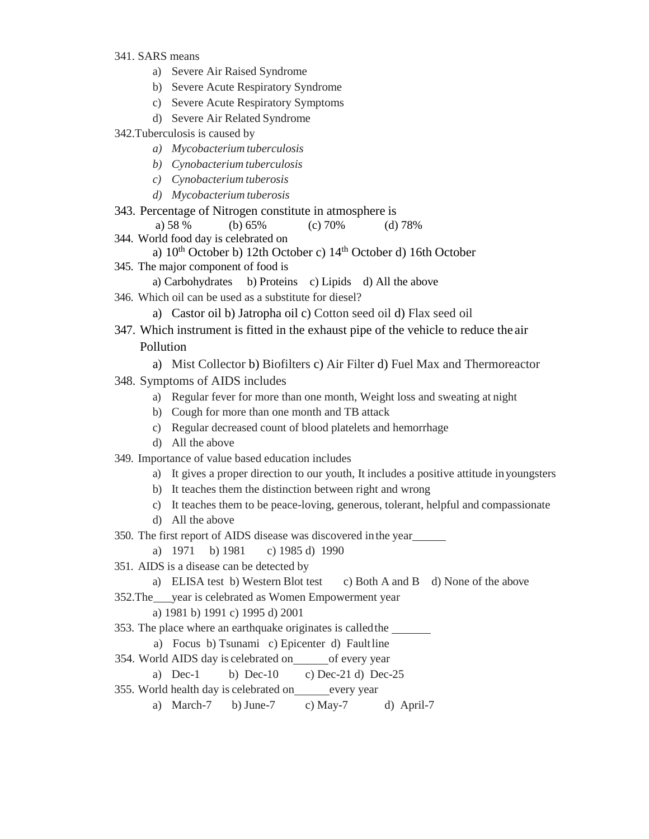- 341. SARS means
	- a) Severe Air Raised Syndrome
	- b) Severe Acute Respiratory Syndrome
	- c) Severe Acute Respiratory Symptoms
	- d) Severe Air Related Syndrome
- 342.Tuberculosis is caused by
	- *a) Mycobacterium tuberculosis*
	- *b) Cynobacterium tuberculosis*
	- *c) Cynobacterium tuberosis*
	- *d) Mycobacterium tuberosis*
- 343. Percentage of Nitrogen constitute in atmosphere is
	- a) 58 % (b) 65% (c) 70% (d) 78%
- 344. World food day is celebrated on
	- a) 10th October b) 12th October c) 14th October d) 16th October
- 345. The major component of food is
	- a) Carbohydrates b) Proteins c) Lipids d) All the above
- 346. Which oil can be used as a substitute for diesel?

a) Castor oil b) Jatropha oil c) Cotton seed oil d) Flax seed oil

- 347. Which instrument is fitted in the exhaust pipe of the vehicle to reduce the air Pollution
	- a) Mist Collector b) Biofilters c) Air Filter d) Fuel Max and Thermoreactor
- 348. Symptoms of AIDS includes
	- a) Regular fever for more than one month, Weight loss and sweating at night
	- b) Cough for more than one month and TB attack
	- c) Regular decreased count of blood platelets and hemorrhage
	- d) All the above
- 349. Importance of value based education includes
	- a) It gives a proper direction to our youth, It includes a positive attitude in youngsters
	- b) It teaches them the distinction between right and wrong
	- c) It teaches them to be peace-loving, generous, tolerant, helpful and compassionate
	- d) All the above
- 350. The first report of AIDS disease was discovered in the year
	- a) 1971 b) 1981 c) 1985 d) 1990
- 351. AIDS is a disease can be detected by
	- a) ELISA test b) Western Blot test c) Both A and B d) None of the above
- 352.The year is celebrated as Women Empowerment year
	- a) 1981 b) 1991 c) 1995 d) 2001
- 353. The place where an earthquake originates is calledthe
	- a) Focus b) Tsunami c) Epicenter d) Faultline
- 354. World AIDS day is celebrated on of every year
	- a) Dec-1 b) Dec-10 c) Dec-21 d) Dec-25
- 355. World health day is celebrated on every year
	- a) March-7 b) June-7 c) May-7 d) April-7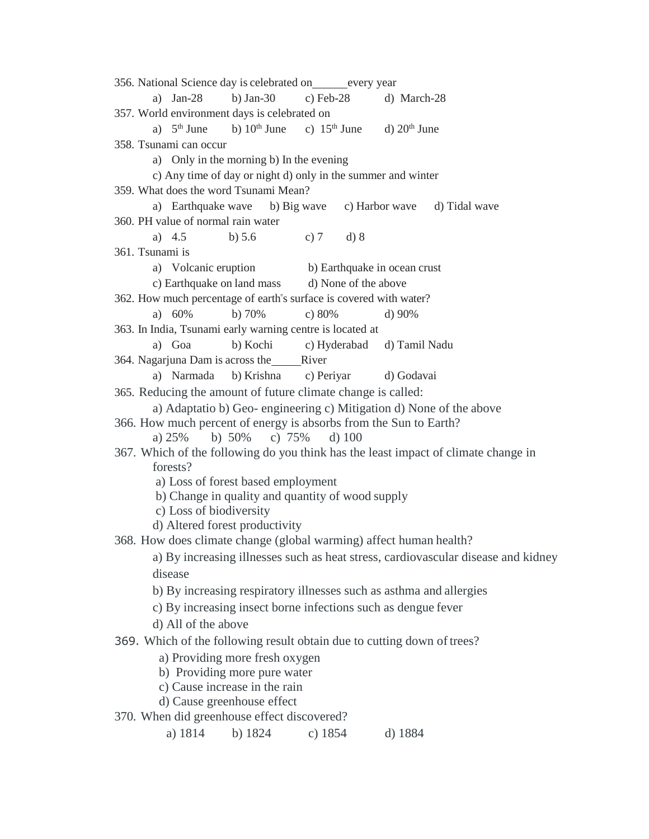|                              | 356. National Science day is celebrated on ________ every year                                 |  |  |  |  |  |  |  |  |  |  |
|------------------------------|------------------------------------------------------------------------------------------------|--|--|--|--|--|--|--|--|--|--|
|                              | a) $Jan-28$<br>b) Jan-30<br>c) Feb-28<br>d) March-28                                           |  |  |  |  |  |  |  |  |  |  |
|                              | 357. World environment days is celebrated on                                                   |  |  |  |  |  |  |  |  |  |  |
|                              | a) $5th$ June b) $10th$ June c) $15th$ June d) $20th$ June                                     |  |  |  |  |  |  |  |  |  |  |
|                              | 358. Tsunami can occur                                                                         |  |  |  |  |  |  |  |  |  |  |
|                              | a) Only in the morning b) In the evening                                                       |  |  |  |  |  |  |  |  |  |  |
|                              | c) Any time of day or night d) only in the summer and winter                                   |  |  |  |  |  |  |  |  |  |  |
|                              | 359. What does the word Tsunami Mean?                                                          |  |  |  |  |  |  |  |  |  |  |
|                              | a) Earthquake wave b) Big wave c) Harbor wave d) Tidal wave                                    |  |  |  |  |  |  |  |  |  |  |
|                              | 360. PH value of normal rain water                                                             |  |  |  |  |  |  |  |  |  |  |
|                              | a) $4.5$<br>c) 7 d) 8<br>b) $5.6$<br>361. Tsunami is                                           |  |  |  |  |  |  |  |  |  |  |
|                              | a) Volcanic eruption<br>b) Earthquake in ocean crust                                           |  |  |  |  |  |  |  |  |  |  |
|                              | c) Earthquake on land mass and None of the above                                               |  |  |  |  |  |  |  |  |  |  |
|                              | 362. How much percentage of earth's surface is covered with water?                             |  |  |  |  |  |  |  |  |  |  |
|                              | a) $60\%$<br>b) $70%$<br>c) $80%$<br>d) 90%                                                    |  |  |  |  |  |  |  |  |  |  |
|                              | 363. In India, Tsunami early warning centre is located at                                      |  |  |  |  |  |  |  |  |  |  |
|                              | a) Goa<br>b) Kochi c) Hyderabad d) Tamil Nadu                                                  |  |  |  |  |  |  |  |  |  |  |
|                              | 364. Nagarjuna Dam is across the River                                                         |  |  |  |  |  |  |  |  |  |  |
|                              | a) Narmada b) Krishna c) Periyar<br>d) Godavai                                                 |  |  |  |  |  |  |  |  |  |  |
|                              | 365. Reducing the amount of future climate change is called:                                   |  |  |  |  |  |  |  |  |  |  |
|                              | a) Adaptatio b) Geo-engineering c) Mitigation d) None of the above                             |  |  |  |  |  |  |  |  |  |  |
|                              | 366. How much percent of energy is absorbs from the Sun to Earth?                              |  |  |  |  |  |  |  |  |  |  |
|                              | a) $25\%$ b) $50\%$ c) $75\%$<br>$d)$ 100                                                      |  |  |  |  |  |  |  |  |  |  |
|                              | 367. Which of the following do you think has the least impact of climate change in<br>forests? |  |  |  |  |  |  |  |  |  |  |
|                              | a) Loss of forest based employment                                                             |  |  |  |  |  |  |  |  |  |  |
|                              | b) Change in quality and quantity of wood supply                                               |  |  |  |  |  |  |  |  |  |  |
|                              | c) Loss of biodiversity                                                                        |  |  |  |  |  |  |  |  |  |  |
|                              | d) Altered forest productivity                                                                 |  |  |  |  |  |  |  |  |  |  |
|                              | 368. How does climate change (global warming) affect human health?                             |  |  |  |  |  |  |  |  |  |  |
|                              | a) By increasing illnesses such as heat stress, cardiovascular disease and kidney              |  |  |  |  |  |  |  |  |  |  |
|                              | disease                                                                                        |  |  |  |  |  |  |  |  |  |  |
|                              | b) By increasing respiratory illnesses such as asthma and allergies                            |  |  |  |  |  |  |  |  |  |  |
|                              | c) By increasing insect borne infections such as dengue fever                                  |  |  |  |  |  |  |  |  |  |  |
|                              | d) All of the above                                                                            |  |  |  |  |  |  |  |  |  |  |
|                              | 369. Which of the following result obtain due to cutting down of trees?                        |  |  |  |  |  |  |  |  |  |  |
|                              | a) Providing more fresh oxygen                                                                 |  |  |  |  |  |  |  |  |  |  |
| b) Providing more pure water |                                                                                                |  |  |  |  |  |  |  |  |  |  |
|                              | c) Cause increase in the rain                                                                  |  |  |  |  |  |  |  |  |  |  |
|                              | d) Cause greenhouse effect                                                                     |  |  |  |  |  |  |  |  |  |  |
|                              | 370. When did greenhouse effect discovered?                                                    |  |  |  |  |  |  |  |  |  |  |
|                              | a) 1814<br>b) 1824<br>c) $1854$<br>d) 1884                                                     |  |  |  |  |  |  |  |  |  |  |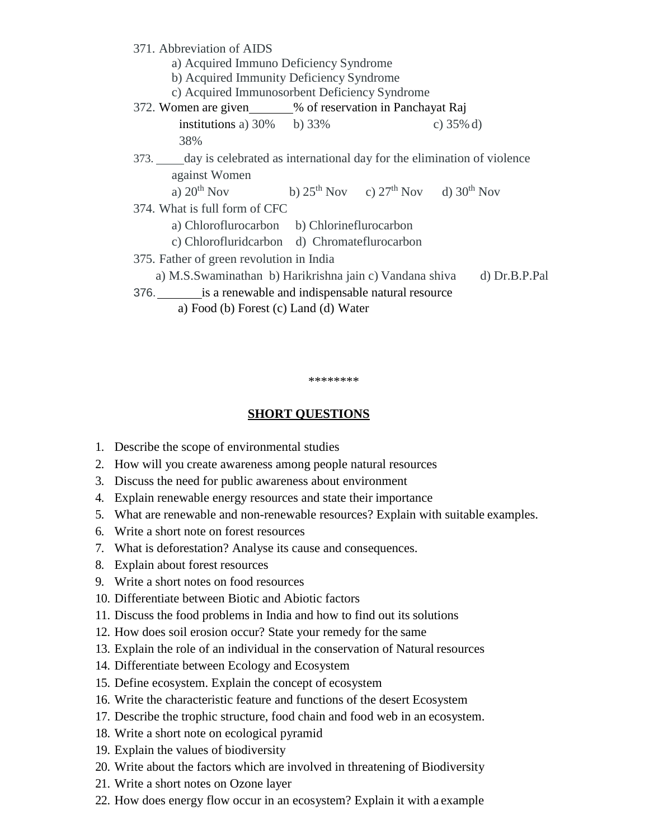| 371. Abbreviation of AIDS                                                   |  |  |              |  |  |  |  |  |  |
|-----------------------------------------------------------------------------|--|--|--------------|--|--|--|--|--|--|
| a) Acquired Immuno Deficiency Syndrome                                      |  |  |              |  |  |  |  |  |  |
| b) Acquired Immunity Deficiency Syndrome                                    |  |  |              |  |  |  |  |  |  |
| c) Acquired Immunosorbent Deficiency Syndrome                               |  |  |              |  |  |  |  |  |  |
| 372. Women are given______% of reservation in Panchayat Raj                 |  |  |              |  |  |  |  |  |  |
| institutions a) $30\%$ b) $33\%$                                            |  |  | c) $35\%$ d) |  |  |  |  |  |  |
| 38%                                                                         |  |  |              |  |  |  |  |  |  |
| 373. day is celebrated as international day for the elimination of violence |  |  |              |  |  |  |  |  |  |
| against Women                                                               |  |  |              |  |  |  |  |  |  |
| a) $20^{th}$ Nov b) $25^{th}$ Nov c) $27^{th}$ Nov d) $30^{th}$ Nov         |  |  |              |  |  |  |  |  |  |
| 374. What is full form of CFC                                               |  |  |              |  |  |  |  |  |  |
| a) Chloroflurocarbon b) Chlorineflurocarbon                                 |  |  |              |  |  |  |  |  |  |
| c) Chlorofluridcarbon d) Chromateflurocarbon                                |  |  |              |  |  |  |  |  |  |
| 375. Father of green revolution in India                                    |  |  |              |  |  |  |  |  |  |
| a) M.S.Swaminathan b) Harikrishna jain c) Vandana shiva d) Dr.B.P.Pal       |  |  |              |  |  |  |  |  |  |
| 376. is a renewable and indispensable natural resource                      |  |  |              |  |  |  |  |  |  |
| a) Food (b) Forest (c) Land (d) Water                                       |  |  |              |  |  |  |  |  |  |

**SHORT QUESTIONS**

\*\*\*\*\*\*\*\*

- 1. Describe the scope of environmental studies
- 2. How will you create awareness among people natural resources
- 3. Discuss the need for public awareness about environment
- 4. Explain renewable energy resources and state their importance
- 5. What are renewable and non-renewable resources? Explain with suitable examples.
- 6. Write a short note on forest resources
- 7. What is deforestation? Analyse its cause and consequences.
- 8. Explain about forest resources
- 9. Write a short notes on food resources
- 10. Differentiate between Biotic and Abiotic factors
- 11. Discuss the food problems in India and how to find out its solutions
- 12. How does soil erosion occur? State your remedy for the same
- 13. Explain the role of an individual in the conservation of Natural resources
- 14. Differentiate between Ecology and Ecosystem
- 15. Define ecosystem. Explain the concept of ecosystem
- 16. Write the characteristic feature and functions of the desert Ecosystem
- 17. Describe the trophic structure, food chain and food web in an ecosystem.
- 18. Write a short note on ecological pyramid
- 19. Explain the values of biodiversity
- 20. Write about the factors which are involved in threatening of Biodiversity
- 21. Write a short notes on Ozone layer
- 22. How does energy flow occur in an ecosystem? Explain it with a example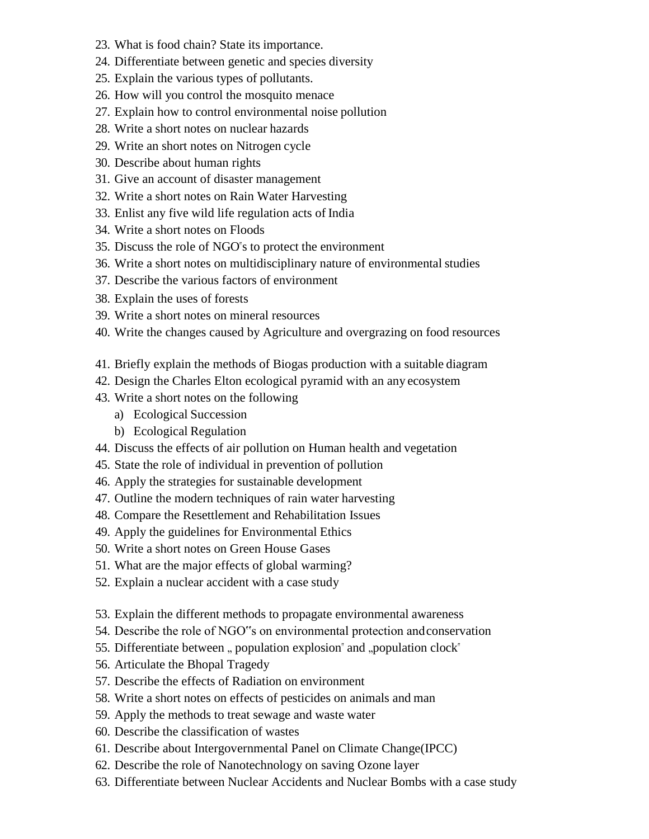- 23. What is food chain? State its importance.
- 24. Differentiate between genetic and species diversity
- 25. Explain the various types of pollutants.
- 26. How will you control the mosquito menace
- 27. Explain how to control environmental noise pollution
- 28. Write a short notes on nuclear hazards
- 29. Write an short notes on Nitrogen cycle
- 30. Describe about human rights
- 31. Give an account of disaster management
- 32. Write a short notes on Rain Water Harvesting
- 33. Enlist any five wild life regulation acts of India
- 34. Write a short notes on Floods
- 35. Discuss the role of NGO"s to protect the environment
- 36. Write a short notes on multidisciplinary nature of environmental studies
- 37. Describe the various factors of environment
- 38. Explain the uses of forests
- 39. Write a short notes on mineral resources
- 40. Write the changes caused by Agriculture and overgrazing on food resources
- 41. Briefly explain the methods of Biogas production with a suitable diagram
- 42. Design the Charles Elton ecological pyramid with an any ecosystem
- 43. Write a short notes on the following
	- a) Ecological Succession
	- b) Ecological Regulation
- 44. Discuss the effects of air pollution on Human health and vegetation
- 45. State the role of individual in prevention of pollution
- 46. Apply the strategies for sustainable development
- 47. Outline the modern techniques of rain water harvesting
- 48. Compare the Resettlement and Rehabilitation Issues
- 49. Apply the guidelines for Environmental Ethics
- 50. Write a short notes on Green House Gases
- 51. What are the major effects of global warming?
- 52. Explain a nuclear accident with a case study
- 53. Explain the different methods to propagate environmental awareness
- 54. Describe the role of NGO"s on environmental protection andconservation
- 55. Differentiate between, population explosion" and "population  $clock$ "
- 56. Articulate the Bhopal Tragedy
- 57. Describe the effects of Radiation on environment
- 58. Write a short notes on effects of pesticides on animals and man
- 59. Apply the methods to treat sewage and waste water
- 60. Describe the classification of wastes
- 61. Describe about Intergovernmental Panel on Climate Change(IPCC)
- 62. Describe the role of Nanotechnology on saving Ozone layer
- 63. Differentiate between Nuclear Accidents and Nuclear Bombs with a case study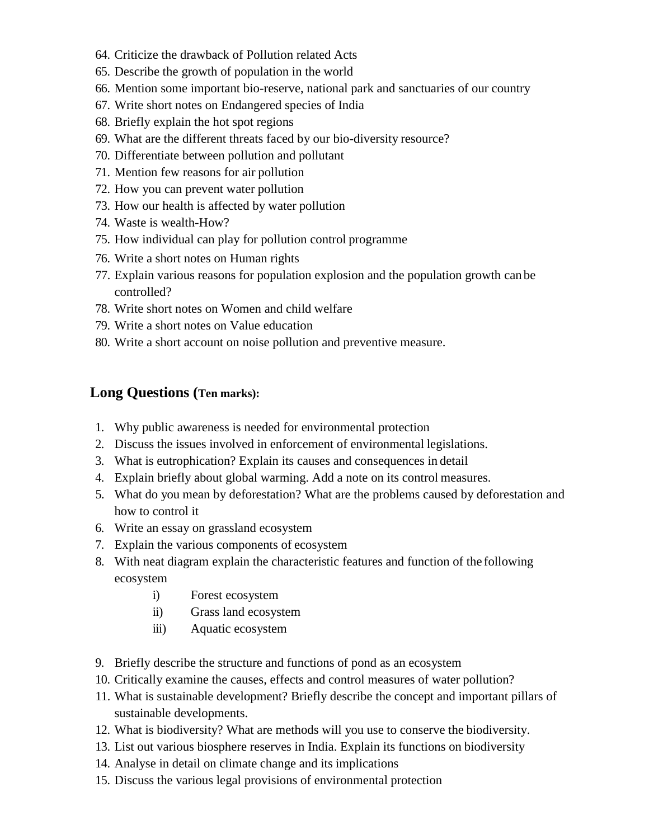- 64. Criticize the drawback of Pollution related Acts
- 65. Describe the growth of population in the world
- 66. Mention some important bio-reserve, national park and sanctuaries of our country
- 67. Write short notes on Endangered species of India
- 68. Briefly explain the hot spot regions
- 69. What are the different threats faced by our bio-diversity resource?
- 70. Differentiate between pollution and pollutant
- 71. Mention few reasons for air pollution
- 72. How you can prevent water pollution
- 73. How our health is affected by water pollution
- 74. Waste is wealth-How?
- 75. How individual can play for pollution control programme
- 76. Write a short notes on Human rights
- 77. Explain various reasons for population explosion and the population growth can be controlled?
- 78. Write short notes on Women and child welfare
- 79. Write a short notes on Value education
- 80. Write a short account on noise pollution and preventive measure.

## **Long Questions (Ten marks):**

- 1. Why public awareness is needed for environmental protection
- 2. Discuss the issues involved in enforcement of environmental legislations.
- 3. What is eutrophication? Explain its causes and consequences in detail
- 4. Explain briefly about global warming. Add a note on its control measures.
- 5. What do you mean by deforestation? What are the problems caused by deforestation and how to control it
- 6. Write an essay on grassland ecosystem
- 7. Explain the various components of ecosystem
- 8. With neat diagram explain the characteristic features and function of the following ecosystem
	- i) Forest ecosystem
	- ii) Grass land ecosystem
	- iii) Aquatic ecosystem
- 9. Briefly describe the structure and functions of pond as an ecosystem
- 10. Critically examine the causes, effects and control measures of water pollution?
- 11. What is sustainable development? Briefly describe the concept and important pillars of sustainable developments.
- 12. What is biodiversity? What are methods will you use to conserve the biodiversity.
- 13. List out various biosphere reserves in India. Explain its functions on biodiversity
- 14. Analyse in detail on climate change and its implications
- 15. Discuss the various legal provisions of environmental protection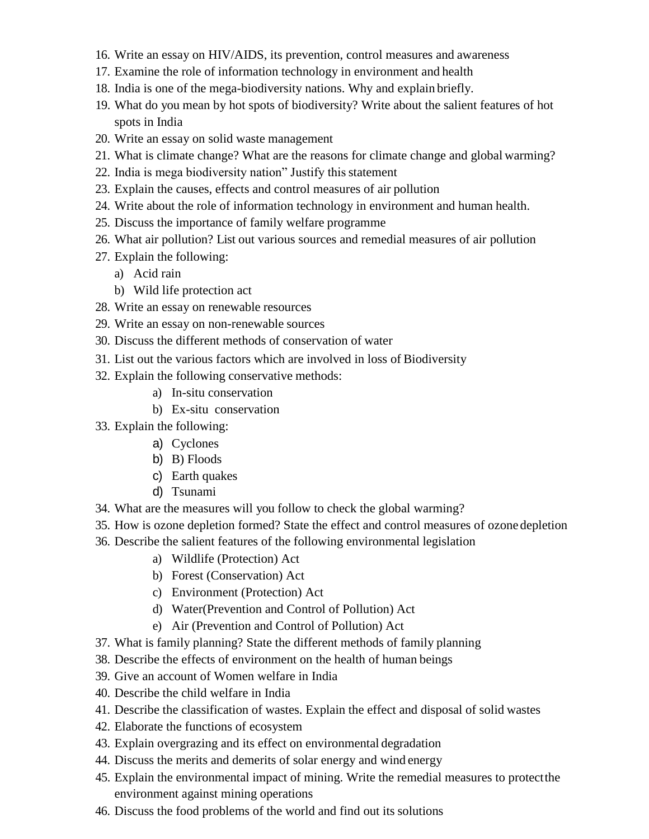- 16. Write an essay on HIV/AIDS, its prevention, control measures and awareness
- 17. Examine the role of information technology in environment and health
- 18. India is one of the mega-biodiversity nations. Why and explain briefly.
- 19. What do you mean by hot spots of biodiversity? Write about the salient features of hot spots in India
- 20. Write an essay on solid waste management
- 21. What is climate change? What are the reasons for climate change and global warming?
- 22. India is mega biodiversity nation" Justify this statement
- 23. Explain the causes, effects and control measures of air pollution
- 24. Write about the role of information technology in environment and human health.
- 25. Discuss the importance of family welfare programme
- 26. What air pollution? List out various sources and remedial measures of air pollution
- 27. Explain the following:
	- a) Acid rain
	- b) Wild life protection act
- 28. Write an essay on renewable resources
- 29. Write an essay on non-renewable sources
- 30. Discuss the different methods of conservation of water
- 31. List out the various factors which are involved in loss of Biodiversity
- 32. Explain the following conservative methods:
	- a) In-situ conservation
	- b) Ex-situ conservation
- 33. Explain the following:
	- a) Cyclones
	- b) B) Floods
	- c) Earth quakes
	- d) Tsunami
- 34. What are the measures will you follow to check the global warming?
- 35. How is ozone depletion formed? State the effect and control measures of ozone depletion
- 36. Describe the salient features of the following environmental legislation
	- a) Wildlife (Protection) Act
	- b) Forest (Conservation) Act
	- c) Environment (Protection) Act
	- d) Water(Prevention and Control of Pollution) Act
	- e) Air (Prevention and Control of Pollution) Act
- 37. What is family planning? State the different methods of family planning
- 38. Describe the effects of environment on the health of human beings
- 39. Give an account of Women welfare in India
- 40. Describe the child welfare in India
- 41. Describe the classification of wastes. Explain the effect and disposal of solid wastes
- 42. Elaborate the functions of ecosystem
- 43. Explain overgrazing and its effect on environmental degradation
- 44. Discuss the merits and demerits of solar energy and wind energy
- 45. Explain the environmental impact of mining. Write the remedial measures to protectthe environment against mining operations
- 46. Discuss the food problems of the world and find out its solutions